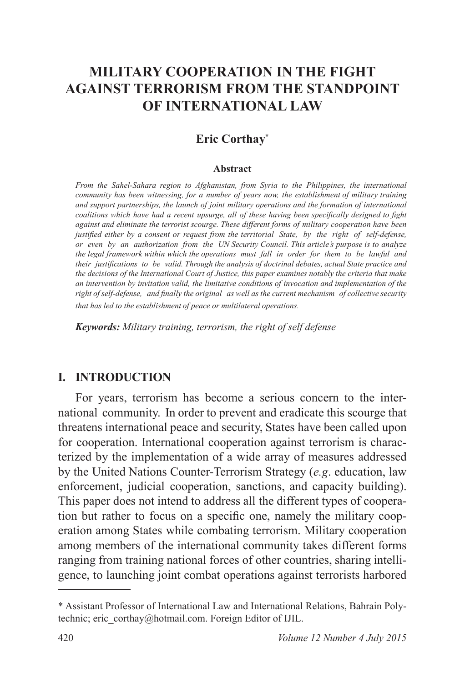# **MILITARY COOPERATION IN THE FIGHT AGAINST TERRORISM FROM THE STANDPOINT OF INTERNATIONAL LAW**

### **Eric Corthay\***

#### **Abstract**

*From the Sahel-Sahara region to Afghanistan, from Syria to the Philippines, the international community has been witnessing, for a number of years now, the establishment of military training and support partnerships, the launch of joint military operations and the formation of international coalitions which have had a recent upsurge, all of these having been specifically designed to fight against and eliminate the terrorist scourge. These different forms of military cooperation have been justified either by a consent or request from the territorial State, by the right of self-defense, or even by an authorization from the UN Security Council. This article's purpose is to analyze the legal framework within which the operations must fall in order for them to be lawful and their justifications to be valid. Through the analysis of doctrinal debates, actual State practice and the decisions of the International Court of Justice, this paper examines notably the criteria that make an intervention by invitation valid, the limitative conditions of invocation and implementation of the right of self-defense, and finally the original as well as the current mechanism of collective security that has led to the establishment of peace or multilateral operations.*

*Keywords: Military training, terrorism, the right of self defense*

#### **I. INTRODUCTION**

For years, terrorism has become a serious concern to the international community. In order to prevent and eradicate this scourge that threatens international peace and security, States have been called upon for cooperation. International cooperation against terrorism is characterized by the implementation of a wide array of measures addressed by the United Nations Counter-Terrorism Strategy (*e.g*. education, law enforcement, judicial cooperation, sanctions, and capacity building). This paper does not intend to address all the different types of cooperation but rather to focus on a specific one, namely the military cooperation among States while combating terrorism. Military cooperation among members of the international community takes different forms ranging from training national forces of other countries, sharing intelligence, to launching joint combat operations against terrorists harbored

<sup>\*</sup> Assistant Professor of International Law and International Relations, Bahrain Polytechnic; eric\_corthay@hotmail.com. Foreign Editor of IJIL.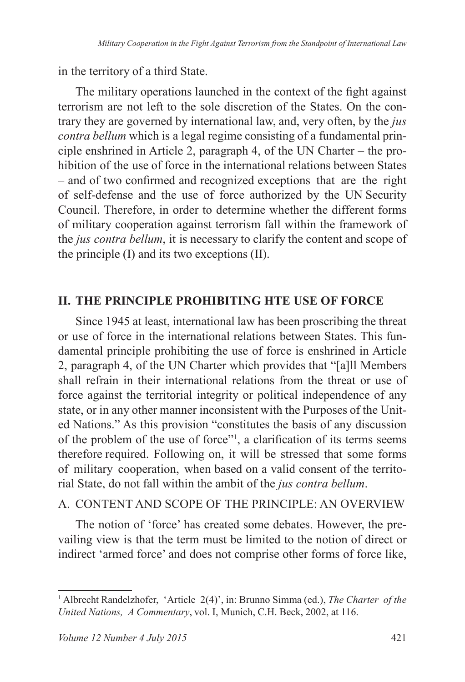in the territory of a third State.

The military operations launched in the context of the fight against terrorism are not left to the sole discretion of the States. On the contrary they are governed by international law, and, very often, by the *jus contra bellum* which is a legal regime consisting of a fundamental principle enshrined in Article 2, paragraph 4, of the UN Charter – the prohibition of the use of force in the international relations between States – and of two confirmed and recognized exceptions that are the right of self-defense and the use of force authorized by the UN Security Council. Therefore, in order to determine whether the different forms of military cooperation against terrorism fall within the framework of the *jus contra bellum*, it is necessary to clarify the content and scope of the principle (I) and its two exceptions (II).

### **II. THE PRINCIPLE PROHIBITING HTE USE OF FORCE**

Since 1945 at least, international law has been proscribing the threat or use of force in the international relations between States. This fundamental principle prohibiting the use of force is enshrined in Article 2, paragraph 4, of the UN Charter which provides that "[a]ll Members shall refrain in their international relations from the threat or use of force against the territorial integrity or political independence of any state, or in any other manner inconsistent with the Purposes of the United Nations." As this provision "constitutes the basis of any discussion of the problem of the use of force"<sup>1</sup> , a clarification of its terms seems therefore required. Following on, it will be stressed that some forms of military cooperation, when based on a valid consent of the territorial State, do not fall within the ambit of the *jus contra bellum*.

## A. CONTENT AND SCOPE OF THE PRINCIPLE: AN OVERVIEW

The notion of 'force' has created some debates. However, the prevailing view is that the term must be limited to the notion of direct or indirect 'armed force' and does not comprise other forms of force like,

<sup>&</sup>lt;sup>1</sup> Albrecht Randelzhofer, 'Article 2(4)', in: Brunno Simma (ed.), *The Charter of the United Nations, A Commentary*, vol. I, Munich, C.H. Beck, 2002, at 116.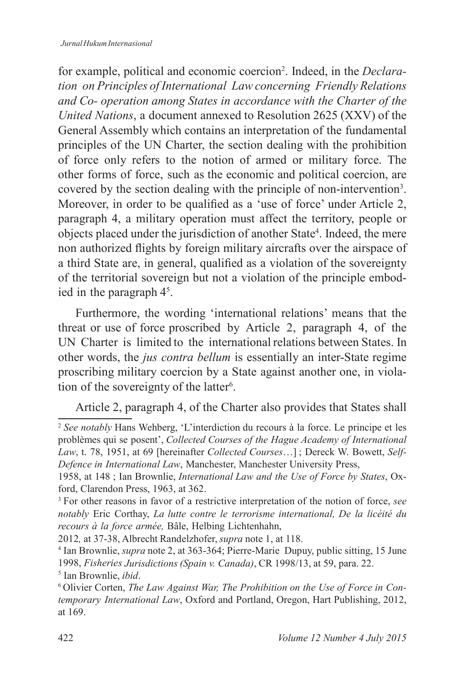for example, political and economic coercion<sup>2</sup>. Indeed, in the *Declaration on Principles of International Law concerning Friendly Relations and Co- operation among States in accordance with the Charter of the United Nations*, a document annexed to Resolution 2625 (XXV) of the General Assembly which contains an interpretation of the fundamental principles of the UN Charter, the section dealing with the prohibition of force only refers to the notion of armed or military force. The other forms of force, such as the economic and political coercion, are covered by the section dealing with the principle of non-intervention<sup>3</sup>. Moreover, in order to be qualified as a 'use of force' under Article 2, paragraph 4, a military operation must affect the territory, people or objects placed under the jurisdiction of another State<sup>4</sup>. Indeed, the mere non authorized flights by foreign military aircrafts over the airspace of a third State are, in general, qualified as a violation of the sovereignty of the territorial sovereign but not a violation of the principle embodied in the paragraph 4<sup>5</sup> .

Furthermore, the wording 'international relations' means that the threat or use of force proscribed by Article 2, paragraph 4, of the UN Charter is limited to the international relations between States. In other words, the *jus contra bellum* is essentially an inter-State regime proscribing military coercion by a State against another one, in violation of the sovereignty of the latter<sup>6</sup>.

Article 2, paragraph 4, of the Charter also provides that States shall

2012*,* at 37-38, Albrecht Randelzhofer, *supra* note 1, at 118.

<sup>2</sup> *See notably* Hans Wehberg, 'L'interdiction du recours à la force. Le principe et les problèmes qui se posent', *Collected Courses of the Hague Academy of International Law*, t. 78, 1951, at 69 [hereinafter *Collected Courses*…] ; Dereck W. Bowett, *Self-Defence in International Law*, Manchester, Manchester University Press,

<sup>1958,</sup> at 148 ; Ian Brownlie, *International Law and the Use of Force by States*, Oxford, Clarendon Press, 1963, at 362.

<sup>3</sup> For other reasons in favor of a restrictive interpretation of the notion of force, *see notably* Eric Corthay, *La lutte contre le terrorisme international, De la licéité du recours à la force armée,* Bâle, Helbing Lichtenhahn,

<sup>4</sup> Ian Brownlie, *supra* note 2, at 363-364; Pierre-Marie Dupuy, public sitting, 15 June 1998, *Fisheries Jurisdictions (Spain v. Canada)*, CR 1998/13, at 59, para. 22.

<sup>5</sup> Ian Brownlie, *ibid*.

<sup>6</sup> Olivier Corten, *The Law Against War, The Prohibition on the Use of Force in Contemporary International Law*, Oxford and Portland, Oregon, Hart Publishing, 2012, at 169.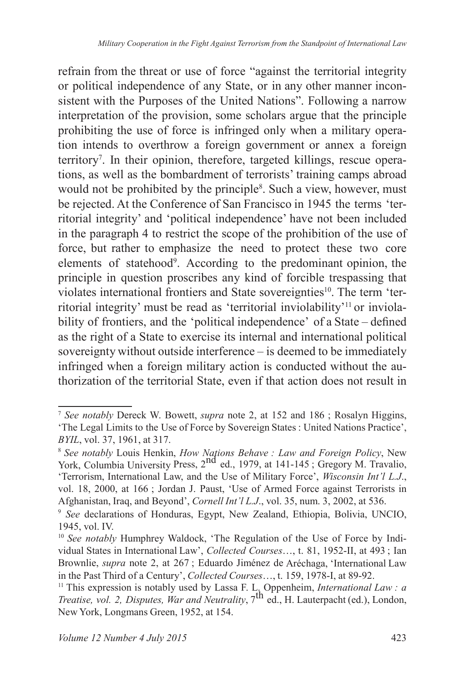refrain from the threat or use of force "against the territorial integrity or political independence of any State, or in any other manner inconsistent with the Purposes of the United Nations". Following a narrow interpretation of the provision, some scholars argue that the principle prohibiting the use of force is infringed only when a military operation intends to overthrow a foreign government or annex a foreign territory<sup>7</sup> . In their opinion, therefore, targeted killings, rescue operations, as well as the bombardment of terrorists' training camps abroad would not be prohibited by the principle<sup>8</sup>. Such a view, however, must be rejected. At the Conference of San Francisco in 1945 the terms 'territorial integrity' and 'political independence' have not been included in the paragraph 4 to restrict the scope of the prohibition of the use of force, but rather to emphasize the need to protect these two core elements of statehood<sup>9</sup>. According to the predominant opinion, the principle in question proscribes any kind of forcible trespassing that violates international frontiers and State sovereignties<sup>10</sup>. The term 'territorial integrity' must be read as 'territorial inviolability'<sup>11</sup> or inviolability of frontiers, and the 'political independence' of a State – defined as the right of a State to exercise its internal and international political sovereignty without outside interference – is deemed to be immediately infringed when a foreign military action is conducted without the authorization of the territorial State, even if that action does not result in

<sup>7</sup> *See notably* Dereck W. Bowett, *supra* note 2, at 152 and 186 ; Rosalyn Higgins, 'The Legal Limits to the Use of Force by Sovereign States : United Nations Practice', *BYIL*, vol. 37, 1961, at 317.

<sup>8</sup> *See notably* Louis Henkin, *How Nations Behave : Law and Foreign Policy*, New York, Columbia University Press, 2<sup>nd</sup> ed., 1979, at 141-145; Gregory M. Travalio, 'Terrorism, International Law, and the Use of Military Force', *Wisconsin Int'l L.J*., vol. 18, 2000, at 166 ; Jordan J. Paust, 'Use of Armed Force against Terrorists in Afghanistan, Iraq, and Beyond', *Cornell Int'l L.J*., vol. 35, num. 3, 2002, at 536.

<sup>9</sup> *See* declarations of Honduras, Egypt, New Zealand, Ethiopia, Bolivia, UNCIO, 1945, vol. IV.

<sup>&</sup>lt;sup>10</sup> See notably Humphrey Waldock, 'The Regulation of the Use of Force by Individual States in International Law', *Collected Courses*…, t. 81, 1952-II, at 493 ; Ian Brownlie, *supra* note 2, at 267 ; Eduardo Jiménez de Aréchaga, 'International Law in the Past Third of a Century', *Collected Courses*…, t. 159, 1978-I, at 89-92.

<sup>&</sup>lt;sup>11</sup> This expression is notably used by Lassa F. L. Oppenheim, *International Law : a Treatise, vol. 2, Disputes, War and Neutrality*,  $7^{\text{th}}$  ed., H. Lauterpacht (ed.), London, New York, Longmans Green, 1952, at 154.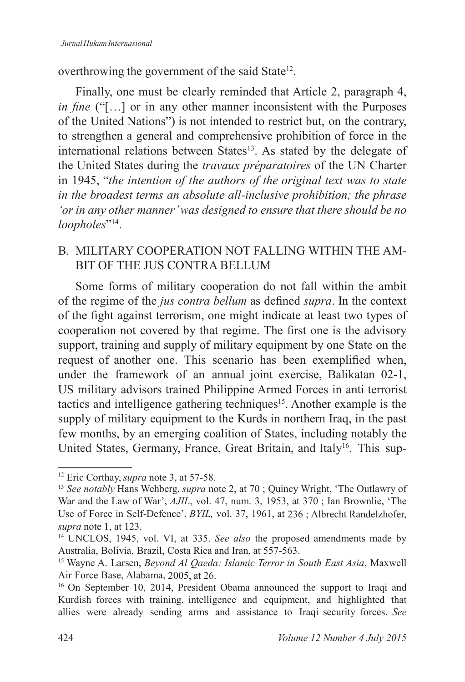overthrowing the government of the said State<sup>12</sup>.

Finally, one must be clearly reminded that Article 2, paragraph 4, *in fine* ("[...] or in any other manner inconsistent with the Purposes of the United Nations") is not intended to restrict but, on the contrary, to strengthen a general and comprehensive prohibition of force in the international relations between States<sup>13</sup>. As stated by the delegate of the United States during the *travaux préparatoires* of the UN Charter in 1945, "*the intention of the authors of the original text was to state in the broadest terms an absolute all-inclusive prohibition; the phrase 'or in any other manner' was designed to ensure that there should be no loopholes*" 14 .

### B. MILITARY COOPERATION NOT FALLING WITHIN THE AM-BIT OF THE JUS CONTRA BELLUM

Some forms of military cooperation do not fall within the ambit of the regime of the *jus contra bellum* as defined *supra*. In the context of the fight against terrorism, one might indicate at least two types of cooperation not covered by that regime. The first one is the advisory support, training and supply of military equipment by one State on the request of another one. This scenario has been exemplified when, under the framework of an annual joint exercise, Balikatan 02-1, US military advisors trained Philippine Armed Forces in anti terrorist tactics and intelligence gathering techniques<sup>15</sup>. Another example is the supply of military equipment to the Kurds in northern Iraq, in the past few months, by an emerging coalition of States, including notably the United States, Germany, France, Great Britain, and Italy<sup>16</sup>. This sup-

<sup>12</sup> Eric Corthay, *supra* note 3, at 57-58.

<sup>13</sup> *See notably* Hans Wehberg, *supra* note 2, at 70 ; Quincy Wright, 'The Outlawry of War and the Law of War', *AJIL*, vol. 47, num. 3, 1953, at 370 ; Ian Brownlie, 'The Use of Force in Self-Defence', *BYIL,* vol. 37, 1961, at 236 ; Albrecht Randelzhofer, *supra* note 1, at 123.

<sup>14</sup> UNCLOS, 1945, vol. VI, at 335. *See also* the proposed amendments made by Australia, Bolivia, Brazil, Costa Rica and Iran, at 557-563.

<sup>15</sup> Wayne A. Larsen, *Beyond Al Qaeda: Islamic Terror in South East Asia*, Maxwell Air Force Base, Alabama, 2005, at 26.

<sup>&</sup>lt;sup>16</sup> On September 10, 2014, President Obama announced the support to Iraqi and Kurdish forces with training, intelligence and equipment, and highlighted that allies were already sending arms and assistance to Iraqi security forces. *See*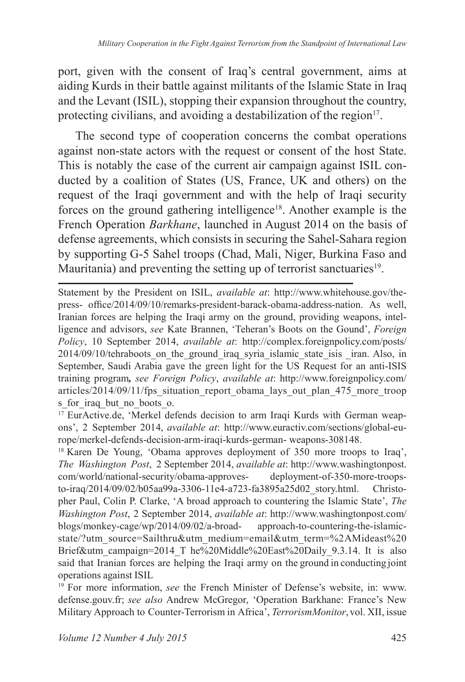port, given with the consent of Iraq's central government, aims at aiding Kurds in their battle against militants of the Islamic State in Iraq and the Levant (ISIL), stopping their expansion throughout the country, protecting civilians, and avoiding a destabilization of the region<sup>17</sup>.

The second type of cooperation concerns the combat operations against non-state actors with the request or consent of the host State. This is notably the case of the current air campaign against ISIL conducted by a coalition of States (US, France, UK and others) on the request of the Iraqi government and with the help of Iraqi security forces on the ground gathering intelligence<sup>18</sup>. Another example is the French Operation *Barkhane*, launched in August 2014 on the basis of defense agreements, which consists in securing the Sahel-Sahara region by supporting G-5 Sahel troops (Chad, Mali, Niger, Burkina Faso and Mauritania) and preventing the setting up of terrorist sanctuaries<sup>19</sup>.

Statement by the President on ISIL, *available at*: http://www.whitehouse.gov/thepress- office/2014/09/10/remarks-president-barack-obama-address-nation. As well, Iranian forces are helping the Iraqi army on the ground, providing weapons, intelligence and advisors, *see* Kate Brannen, 'Teheran's Boots on the Gound', *Foreign Policy*, 10 September 2014, *available at*: http://complex.foreignpolicy.com/posts/ 2014/09/10/tehraboots on the ground iraq syria islamic state isis iran. Also, in September, Saudi Arabia gave the green light for the US Request for an anti-ISIS training program*, see Foreign Policy*, *available at*: http://www.foreignpolicy.com/ articles/2014/09/11/fps\_situation\_report\_obama\_lays\_out\_plan\_475\_more\_troop s for iraq but no boots o.

<sup>17</sup> EurActive.de, 'Merkel defends decision to arm Iraqi Kurds with German weapons', 2 September 2014, *available at*: http://www.euractiv.com/sections/global-europe/merkel-defends-decision-arm-iraqi-kurds-german- weapons-308148.

<sup>18</sup> Karen De Young, 'Obama approves deployment of 350 more troops to Iraq', *The Washington Post*, 2 September 2014, *available at*: http://www.washingtonpost. com/world/national-security/obama-approves- deployment-of-350-more-troopsto-iraq/2014/09/02/b05aa99a-3306-11e4-a723-fa3895a25d02\_story.html. Christopher Paul, Colin P. Clarke, 'A broad approach to countering the Islamic State', *The Washington Post*, 2 September 2014, *available at*: http://www.washingtonpost.com/ blogs/monkey-cage/wp/2014/09/02/a-broad- approach-to-countering-the-islamicstate/?utm\_source=Sailthru&utm\_medium=email&utm\_term=%2AMideast%20 Brief&utm\_campaign=2014\_T he%20Middle%20East%20Daily\_9.3.14. It is also said that Iranian forces are helping the Iraqi army on the ground in conducting joint operations against ISIL

<sup>19</sup> For more information, *see* the French Minister of Defense's website, in: www. defense.gouv.fr; *see also* Andrew McGregor, 'Operation Barkhane: France's New Military Approach to Counter-Terrorism in Africa', *TerrorismMonitor*, vol. XII, issue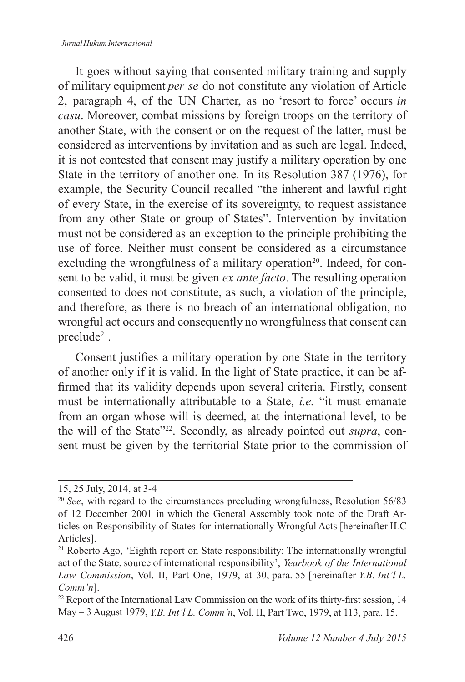It goes without saying that consented military training and supply of military equipment *per se* do not constitute any violation of Article 2, paragraph 4, of the UN Charter, as no 'resort to force' occurs *in casu*. Moreover, combat missions by foreign troops on the territory of another State, with the consent or on the request of the latter, must be considered as interventions by invitation and as such are legal. Indeed, it is not contested that consent may justify a military operation by one State in the territory of another one. In its Resolution 387 (1976), for example, the Security Council recalled "the inherent and lawful right of every State, in the exercise of its sovereignty, to request assistance from any other State or group of States". Intervention by invitation must not be considered as an exception to the principle prohibiting the use of force. Neither must consent be considered as a circumstance excluding the wrongfulness of a military operation<sup>20</sup>. Indeed, for consent to be valid, it must be given *ex ante facto*. The resulting operation consented to does not constitute, as such, a violation of the principle, and therefore, as there is no breach of an international obligation, no wrongful act occurs and consequently no wrongfulness that consent can preclude<sup>21</sup>.

Consent justifies a military operation by one State in the territory of another only if it is valid. In the light of State practice, it can be affirmed that its validity depends upon several criteria. Firstly, consent must be internationally attributable to a State, *i.e.* "it must emanate from an organ whose will is deemed, at the international level, to be the will of the State"22. Secondly, as already pointed out *supra*, consent must be given by the territorial State prior to the commission of

<sup>15, 25</sup> July, 2014, at 3-4

<sup>20</sup> *See*, with regard to the circumstances precluding wrongfulness, Resolution 56/83 of 12 December 2001 in which the General Assembly took note of the Draft Articles on Responsibility of States for internationally Wrongful Acts [hereinafter ILC Articles].

<sup>&</sup>lt;sup>21</sup> Roberto Ago, 'Eighth report on State responsibility: The internationally wrongful act of the State, source of international responsibility', *Yearbook of the International Law Commission*, Vol. II, Part One, 1979, at 30, para. 55 [hereinafter *Y.B. Int'l L. Comm'n*].

<sup>&</sup>lt;sup>22</sup> Report of the International Law Commission on the work of its thirty-first session, 14 May – 3 August 1979, *Y.B. Int'l L. Comm'n*, Vol. II, Part Two, 1979, at 113, para. 15.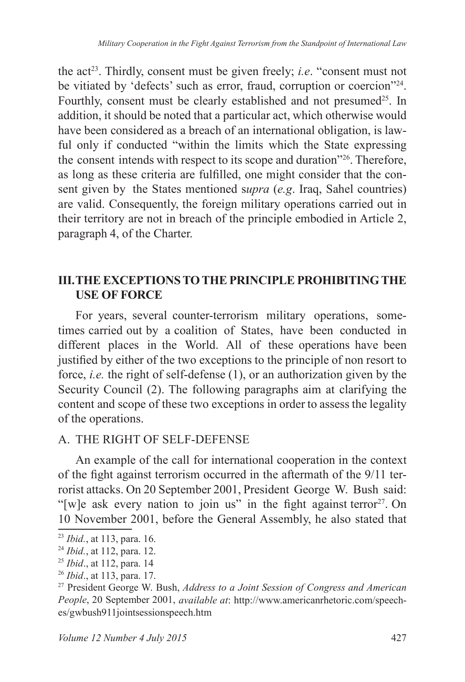the act<sup>23</sup>. Thirdly, consent must be given freely; *i.e.* "consent must not be vitiated by 'defects' such as error, fraud, corruption or coercion<sup>724</sup>. Fourthly, consent must be clearly established and not presumed<sup>25</sup>. In addition, it should be noted that a particular act, which otherwise would have been considered as a breach of an international obligation, is lawful only if conducted "within the limits which the State expressing the consent intends with respect to its scope and duration"<sup>26</sup>. Therefore, as long as these criteria are fulfilled, one might consider that the consent given by the States mentioned s*upra* (*e.g*. Iraq, Sahel countries) are valid. Consequently, the foreign military operations carried out in their territory are not in breach of the principle embodied in Article 2, paragraph 4, of the Charter.

### **III. THE EXCEPTIONS TO THE PRINCIPLE PROHIBITING THE USE OF FORCE**

For years, several counter-terrorism military operations, sometimes carried out by a coalition of States, have been conducted in different places in the World. All of these operations have been justified by either of the two exceptions to the principle of non resort to force, *i.e.* the right of self-defense (1), or an authorization given by the Security Council (2). The following paragraphs aim at clarifying the content and scope of these two exceptions in order to assess the legality of the operations.

#### A. THE RIGHT OF SELF-DEFENSE

An example of the call for international cooperation in the context of the fight against terrorism occurred in the aftermath of the 9/11 terrorist attacks. On 20 September 2001, President George W. Bush said: "[w]e ask every nation to join us" in the fight against terror<sup>27</sup>. On 10 November 2001, before the General Assembly, he also stated that

<sup>23</sup> *Ibid.*, at 113, para. 16.

<sup>24</sup> *Ibid.*, at 112, para. 12.

<sup>25</sup> *Ibid*., at 112, para. 14

<sup>26</sup> *Ibid*., at 113, para. 17.

<sup>27</sup> President George W. Bush, *Address to a Joint Session of Congress and American People*, 20 September 2001, *available at*: http://www.americanrhetoric.com/speeches/gwbush911jointsessionspeech.htm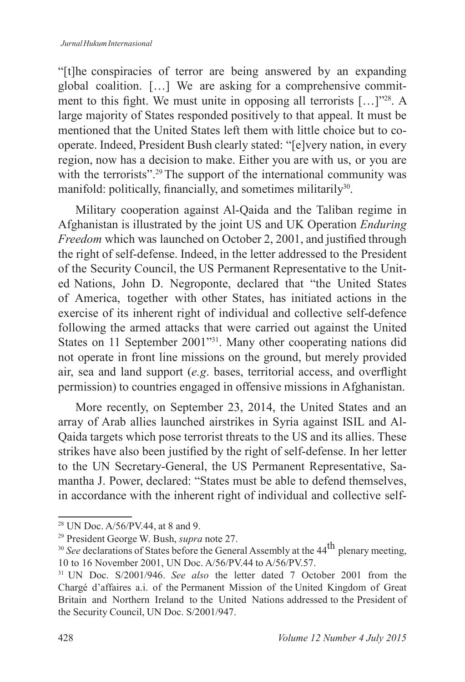"[t]he conspiracies of terror are being answered by an expanding global coalition. […] We are asking for a comprehensive commitment to this fight. We must unite in opposing all terrorists […]"<sup>28</sup>. A large majority of States responded positively to that appeal. It must be mentioned that the United States left them with little choice but to cooperate. Indeed, President Bush clearly stated: "[e]very nation, in every region, now has a decision to make. Either you are with us, or you are with the terrorists".<sup>29</sup> The support of the international community was manifold: politically, financially, and sometimes militarily<sup>30</sup>.

Military cooperation against Al-Qaida and the Taliban regime in Afghanistan is illustrated by the joint US and UK Operation *Enduring Freedom* which was launched on October 2, 2001, and justified through the right of self-defense. Indeed, in the letter addressed to the President of the Security Council, the US Permanent Representative to the United Nations, John D. Negroponte, declared that "the United States of America, together with other States, has initiated actions in the exercise of its inherent right of individual and collective self-defence following the armed attacks that were carried out against the United States on 11 September 2001"<sup>31</sup>. Many other cooperating nations did not operate in front line missions on the ground, but merely provided air, sea and land support (*e.g*. bases, territorial access, and overflight permission) to countries engaged in offensive missions in Afghanistan.

More recently, on September 23, 2014, the United States and an array of Arab allies launched airstrikes in Syria against ISIL and Al-Qaida targets which pose terrorist threats to the US and its allies. These strikes have also been justified by the right of self-defense. In her letter to the UN Secretary-General, the US Permanent Representative, Samantha J. Power, declared: "States must be able to defend themselves, in accordance with the inherent right of individual and collective self-

<sup>28</sup> UN Doc. A/56/PV.44, at 8 and 9.

<sup>29</sup> President George W. Bush, *supra* note 27.

<sup>&</sup>lt;sup>30</sup> See declarations of States before the General Assembly at the 44<sup>th</sup> plenary meeting, 10 to 16 November 2001, UN Doc. A/56/PV.44 to A/56/PV.57.

<sup>31</sup> UN Doc. S/2001/946. *See also* the letter dated 7 October 2001 from the Chargé d'affaires a.i. of the Permanent Mission of the United Kingdom of Great Britain and Northern Ireland to the United Nations addressed to the President of the Security Council, UN Doc. S/2001/947.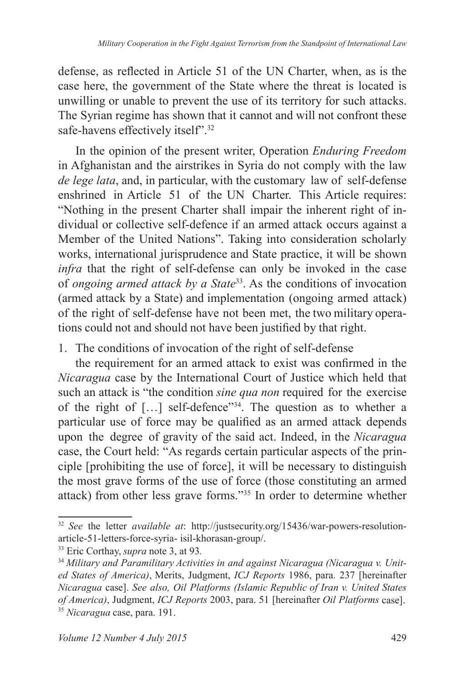defense, as reflected in Article 51 of the UN Charter, when, as is the case here, the government of the State where the threat is located is unwilling or unable to prevent the use of its territory for such attacks. The Syrian regime has shown that it cannot and will not confront these safe-havens effectively itself".<sup>32</sup>

In the opinion of the present writer, Operation *Enduring Freedom*  in Afghanistan and the airstrikes in Syria do not comply with the law *de lege lata*, and, in particular, with the customary law of self-defense enshrined in Article 51 of the UN Charter. This Article requires: "Nothing in the present Charter shall impair the inherent right of individual or collective self-defence if an armed attack occurs against a Member of the United Nations". Taking into consideration scholarly works, international jurisprudence and State practice, it will be shown *infra* that the right of self-defense can only be invoked in the case of *ongoing armed attack by a State*<sup>33</sup>. As the conditions of invocation (armed attack by a State) and implementation (ongoing armed attack) of the right of self-defense have not been met, the two military operations could not and should not have been justified by that right.

1. The conditions of invocation of the right of self-defense

the requirement for an armed attack to exist was confirmed in the *Nicaragua* case by the International Court of Justice which held that such an attack is "the condition *sine qua non* required for the exercise of the right of […] self-defence"<sup>34</sup>. The question as to whether a particular use of force may be qualified as an armed attack depends upon the degree of gravity of the said act. Indeed, in the *Nicaragua*  case, the Court held: "As regards certain particular aspects of the principle [prohibiting the use of force], it will be necessary to distinguish the most grave forms of the use of force (those constituting an armed attack) from other less grave forms."<sup>35</sup> In order to determine whether

<sup>32</sup> *See* the letter *available at*: http://justsecurity.org/15436/war-powers-resolutionarticle-51-letters-force-syria- isil-khorasan-group/.

<sup>33</sup> Eric Corthay, *supra* note 3, at 93*.*

<sup>&</sup>lt;sup>34</sup> Military and Paramilitary Activities in and against Nicaragua (Nicaragua v. Unit*ed States of America)*, Merits, Judgment, *ICJ Reports* 1986, para. 237 [hereinafter *Nicaragua* case]. *See also, Oil Platforms (Islamic Republic of Iran v. United States of America)*, Judgment, *ICJ Reports* 2003, para. 51 [hereinafter *Oil Platforms* case]. <sup>35</sup> *Nicaragua* case, para. 191.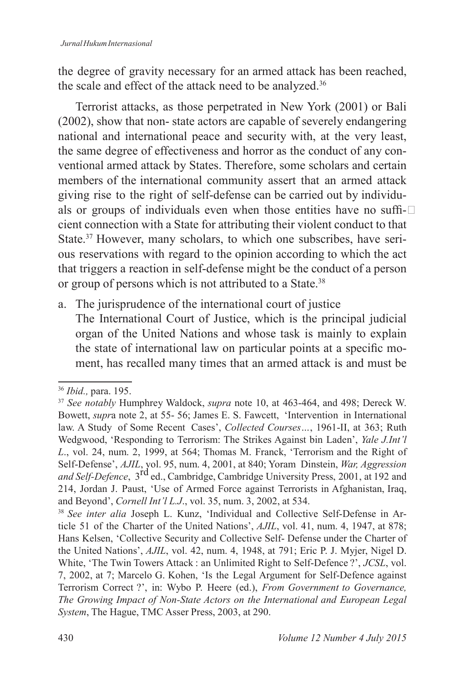the degree of gravity necessary for an armed attack has been reached, the scale and effect of the attack need to be analyzed.<sup>36</sup>

Terrorist attacks, as those perpetrated in New York (2001) or Bali (2002), show that non- state actors are capable of severely endangering national and international peace and security with, at the very least, the same degree of effectiveness and horror as the conduct of any conventional armed attack by States. Therefore, some scholars and certain members of the international community assert that an armed attack giving rise to the right of self-defense can be carried out by individuals or groups of individuals even when those entities have no suffi- $\square$ cient connection with a State for attributing their violent conduct to that State.<sup>37</sup> However, many scholars, to which one subscribes, have serious reservations with regard to the opinion according to which the act that triggers a reaction in self-defense might be the conduct of a person or group of persons which is not attributed to a State.<sup>38</sup>

a. The jurisprudence of the international court of justice The International Court of Justice, which is the principal judicial organ of the United Nations and whose task is mainly to explain the state of international law on particular points at a specific mo-

ment, has recalled many times that an armed attack is and must be

<sup>36</sup> *Ibid.,* para. 195.

<sup>37</sup> *See notably* Humphrey Waldock, *supra* note 10, at 463-464, and 498; Dereck W. Bowett, *supr*a note 2, at 55- 56; James E. S. Fawcett, 'Intervention in International law. A Study of Some Recent Cases', *Collected Courses…*, 1961-II, at 363; Ruth Wedgwood, 'Responding to Terrorism: The Strikes Against bin Laden', *Yale J.Int'l L*., vol. 24, num. 2, 1999, at 564; Thomas M. Franck, 'Terrorism and the Right of Self-Defense', *AJIL*, vol. 95, num. 4, 2001, at 840; Yoram Dinstein, *War, Aggression and Self-Defence*, 3rd ed., Cambridge, Cambridge University Press, 2001, at 192 and 214, Jordan J. Paust, 'Use of Armed Force against Terrorists in Afghanistan, Iraq, and Beyond', *Cornell Int'l L.J*., vol. 35, num. 3, 2002, at 534.

<sup>38</sup> *See inter alia* Joseph L. Kunz, 'Individual and Collective Self-Defense in Article 51 of the Charter of the United Nations', *AJIL*, vol. 41, num. 4, 1947, at 878; Hans Kelsen, 'Collective Security and Collective Self- Defense under the Charter of the United Nations', *AJIL*, vol. 42, num. 4, 1948, at 791; Eric P. J. Myjer, Nigel D. White, 'The Twin Towers Attack : an Unlimited Right to Self-Defence ?', *JCSL*, vol. 7, 2002, at 7; Marcelo G. Kohen, 'Is the Legal Argument for Self-Defence against Terrorism Correct ?', in: Wybo P. Heere (ed.), *From Government to Governance, The Growing Impact of Non-State Actors on the International and European Legal System*, The Hague, TMC Asser Press, 2003, at 290.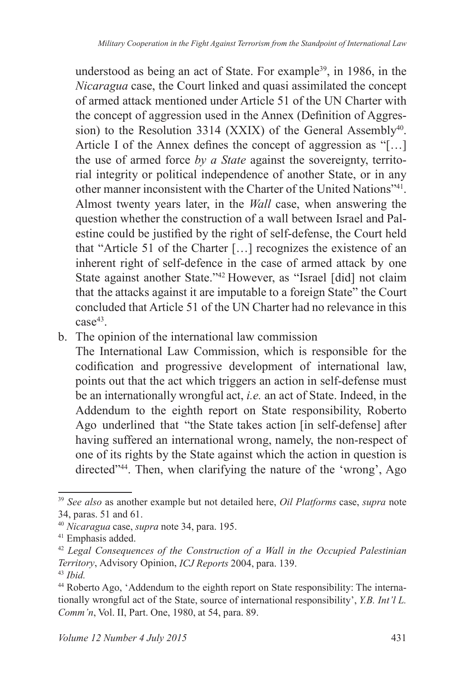understood as being an act of State. For example<sup>39</sup>, in 1986, in the *Nicaragua* case, the Court linked and quasi assimilated the concept of armed attack mentioned under Article 51 of the UN Charter with the concept of aggression used in the Annex (Definition of Aggression) to the Resolution 3314 (XXIX) of the General Assembly<sup>40</sup>. Article I of the Annex defines the concept of aggression as "[…] the use of armed force *by a State* against the sovereignty, territorial integrity or political independence of another State, or in any other manner inconsistent with the Charter of the United Nations"<sup>41</sup> . Almost twenty years later, in the *Wall* case, when answering the question whether the construction of a wall between Israel and Palestine could be justified by the right of self-defense, the Court held that "Article 51 of the Charter […] recognizes the existence of an inherent right of self-defence in the case of armed attack by one State against another State."<sup>42</sup> However, as "Israel [did] not claim that the attacks against it are imputable to a foreign State" the Court concluded that Article 51 of the UN Charter had no relevance in this  $case<sup>43</sup>$ .

b. The opinion of the international law commission

 The International Law Commission, which is responsible for the codification and progressive development of international law, points out that the act which triggers an action in self-defense must be an internationally wrongful act, *i.e.* an act of State. Indeed, in the Addendum to the eighth report on State responsibility, Roberto Ago underlined that "the State takes action [in self-defense] after having suffered an international wrong, namely, the non-respect of one of its rights by the State against which the action in question is directed"<sup>44</sup>. Then, when clarifying the nature of the 'wrong', Ago

<sup>39</sup> *See also* as another example but not detailed here, *Oil Platforms* case, *supra* note 34, paras. 51 and 61.

<sup>40</sup> *Nicaragua* case, *supra* note 34, para. 195.

<sup>41</sup> Emphasis added.

<sup>42</sup> *Legal Consequences of the Construction of a Wall in the Occupied Palestinian Territory*, Advisory Opinion, *ICJ Reports* 2004, para. 139.

<sup>43</sup> *Ibid.*

<sup>44</sup> Roberto Ago, 'Addendum to the eighth report on State responsibility: The internationally wrongful act of the State, source of international responsibility', *Y.B. Int'l L. Comm'n*, Vol. II, Part. One, 1980, at 54, para. 89.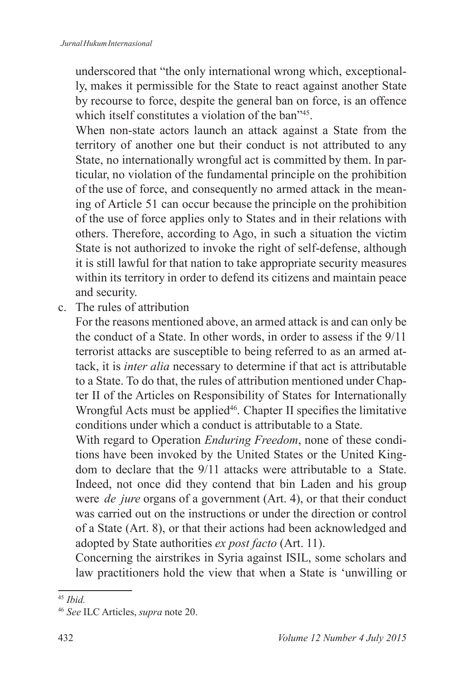underscored that "the only international wrong which, exceptionally, makes it permissible for the State to react against another State by recourse to force, despite the general ban on force, is an offence which itself constitutes a violation of the ban<sup>345</sup>.

 When non-state actors launch an attack against a State from the territory of another one but their conduct is not attributed to any State, no internationally wrongful act is committed by them. In particular, no violation of the fundamental principle on the prohibition of the use of force, and consequently no armed attack in the meaning of Article 51 can occur because the principle on the prohibition of the use of force applies only to States and in their relations with others. Therefore, according to Ago, in such a situation the victim State is not authorized to invoke the right of self-defense, although it is still lawful for that nation to take appropriate security measures within its territory in order to defend its citizens and maintain peace and security.

c. The rules of attribution

 For the reasons mentioned above, an armed attack is and can only be the conduct of a State. In other words, in order to assess if the 9/11 terrorist attacks are susceptible to being referred to as an armed attack, it is *inter alia* necessary to determine if that act is attributable to a State. To do that, the rules of attribution mentioned under Chapter II of the Articles on Responsibility of States for Internationally Wrongful Acts must be applied<sup>46</sup>. Chapter II specifies the limitative conditions under which a conduct is attributable to a State.

 With regard to Operation *Enduring Freedom*, none of these conditions have been invoked by the United States or the United Kingdom to declare that the 9/11 attacks were attributable to a State. Indeed, not once did they contend that bin Laden and his group were *de jure* organs of a government (Art. 4), or that their conduct was carried out on the instructions or under the direction or control of a State (Art. 8), or that their actions had been acknowledged and adopted by State authorities *ex post facto* (Art. 11).

 Concerning the airstrikes in Syria against ISIL, some scholars and law practitioners hold the view that when a State is 'unwilling or

<sup>45</sup> *Ibid.*

<sup>46</sup> *See* ILC Articles, *supra* note 20.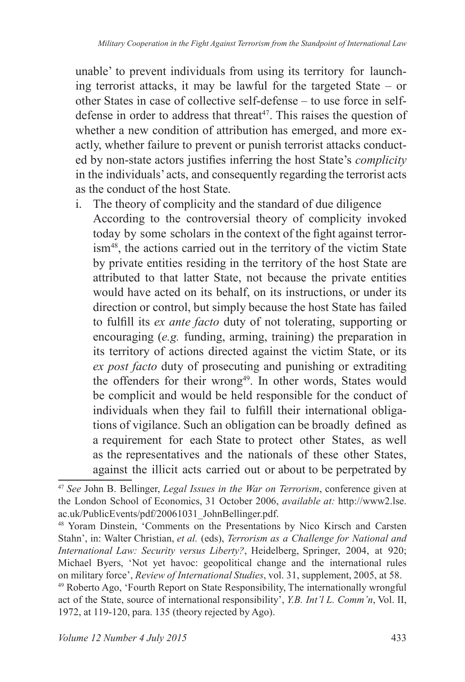unable' to prevent individuals from using its territory for launching terrorist attacks, it may be lawful for the targeted State – or other States in case of collective self-defense – to use force in selfdefense in order to address that threat<sup>47</sup>. This raises the question of whether a new condition of attribution has emerged, and more exactly, whether failure to prevent or punish terrorist attacks conducted by non-state actors justifies inferring the host State's *complicity*  in the individuals' acts, and consequently regarding the terrorist acts as the conduct of the host State.

i. The theory of complicity and the standard of due diligence According to the controversial theory of complicity invoked today by some scholars in the context of the fight against terrorism<sup>48</sup>, the actions carried out in the territory of the victim State by private entities residing in the territory of the host State are attributed to that latter State, not because the private entities would have acted on its behalf, on its instructions, or under its direction or control, but simply because the host State has failed to fulfill its *ex ante facto* duty of not tolerating, supporting or encouraging (*e.g.* funding, arming, training) the preparation in its territory of actions directed against the victim State, or its *ex post facto* duty of prosecuting and punishing or extraditing the offenders for their wrong<sup>49</sup>. In other words, States would be complicit and would be held responsible for the conduct of individuals when they fail to fulfill their international obligations of vigilance. Such an obligation can be broadly defined as a requirement for each State to protect other States, as well as the representatives and the nationals of these other States, against the illicit acts carried out or about to be perpetrated by

<sup>47</sup> *See* John B. Bellinger, *Legal Issues in the War on Terrorism*, conference given at the London School of Economics, 31 October 2006, *available at:* http://www2.lse. ac.uk/PublicEvents/pdf/20061031\_JohnBellinger.pdf.

<sup>48</sup> Yoram Dinstein, 'Comments on the Presentations by Nico Kirsch and Carsten Stahn', in: Walter Christian, *et al.* (eds), *Terrorism as a Challenge for National and International Law: Security versus Liberty?*, Heidelberg, Springer, 2004, at 920; Michael Byers, 'Not yet havoc: geopolitical change and the international rules on military force', *Review of International Studies*, vol. 31, supplement, 2005, at 58.

<sup>49</sup> Roberto Ago, 'Fourth Report on State Responsibility, The internationally wrongful act of the State, source of international responsibility', *Y.B. Int'l L. Comm'n*, Vol. II, 1972, at 119-120, para. 135 (theory rejected by Ago).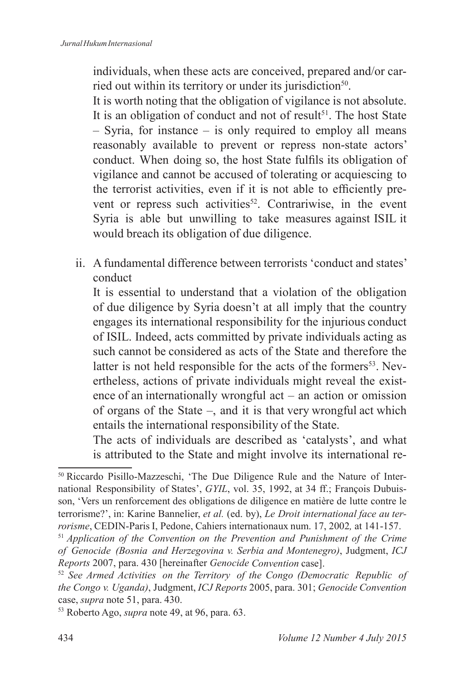individuals, when these acts are conceived, prepared and/or carried out within its territory or under its jurisdiction<sup>50</sup>.

 It is worth noting that the obligation of vigilance is not absolute. It is an obligation of conduct and not of result<sup>51</sup>. The host State – Syria, for instance – is only required to employ all means reasonably available to prevent or repress non-state actors' conduct. When doing so, the host State fulfils its obligation of vigilance and cannot be accused of tolerating or acquiescing to the terrorist activities, even if it is not able to efficiently prevent or repress such activities<sup>52</sup>. Contrariwise, in the event Syria is able but unwilling to take measures against ISIL it would breach its obligation of due diligence.

ii. A fundamental difference between terrorists 'conduct and states' conduct

 It is essential to understand that a violation of the obligation of due diligence by Syria doesn't at all imply that the country engages its international responsibility for the injurious conduct of ISIL. Indeed, acts committed by private individuals acting as such cannot be considered as acts of the State and therefore the latter is not held responsible for the acts of the formers<sup>53</sup>. Nevertheless, actions of private individuals might reveal the existence of an internationally wrongful act – an action or omission of organs of the State –, and it is that very wrongful act which entails the international responsibility of the State.

 The acts of individuals are described as 'catalysts', and what is attributed to the State and might involve its international re-

<sup>50</sup> Riccardo Pisillo-Mazzeschi, 'The Due Diligence Rule and the Nature of International Responsibility of States', *GYIL*, vol. 35, 1992, at 34 ff.; François Dubuisson, 'Vers un renforcement des obligations de diligence en matière de lutte contre le terrorisme?', in: Karine Bannelier, *et al.* (ed. by), *Le Droit international face au terrorisme*, CEDIN-Paris I, Pedone, Cahiers internationaux num. 17, 2002*,* at 141-157.

<sup>51</sup> *Application of the Convention on the Prevention and Punishment of the Crime of Genocide (Bosnia and Herzegovina v. Serbia and Montenegro)*, Judgment, *ICJ Reports* 2007, para. 430 [hereinafter *Genocide Convention* case].

<sup>52</sup> *See Armed Activities on the Territory of the Congo (Democratic Republic of the Congo v. Uganda)*, Judgment, *ICJ Reports* 2005, para. 301; *Genocide Convention*  case, *supra* note 51, para. 430.

<sup>53</sup> Roberto Ago, *supra* note 49, at 96, para. 63.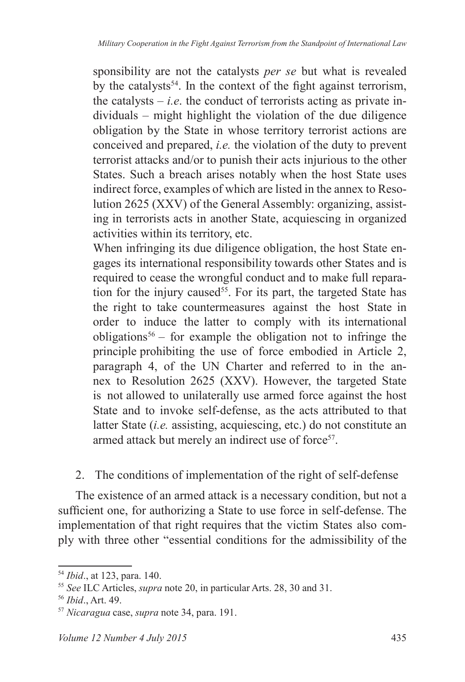sponsibility are not the catalysts *per se* but what is revealed by the catalysts<sup>54</sup>. In the context of the fight against terrorism, the catalysts  $- i.e.$  the conduct of terrorists acting as private individuals – might highlight the violation of the due diligence obligation by the State in whose territory terrorist actions are conceived and prepared, *i.e.* the violation of the duty to prevent terrorist attacks and/or to punish their acts injurious to the other States. Such a breach arises notably when the host State uses indirect force, examples of which are listed in the annex to Resolution 2625 (XXV) of the General Assembly: organizing, assisting in terrorists acts in another State, acquiescing in organized activities within its territory, etc.

 When infringing its due diligence obligation, the host State engages its international responsibility towards other States and is required to cease the wrongful conduct and to make full reparation for the injury caused<sup>55</sup>. For its part, the targeted State has the right to take countermeasures against the host State in order to induce the latter to comply with its international obligations<sup>56</sup> – for example the obligation not to infringe the principle prohibiting the use of force embodied in Article 2, paragraph 4, of the UN Charter and referred to in the annex to Resolution 2625 (XXV). However, the targeted State is not allowed to unilaterally use armed force against the host State and to invoke self-defense, as the acts attributed to that latter State (*i.e.* assisting, acquiescing, etc.) do not constitute an armed attack but merely an indirect use of force<sup>57</sup>.

# 2. The conditions of implementation of the right of self-defense

The existence of an armed attack is a necessary condition, but not a sufficient one, for authorizing a State to use force in self-defense. The implementation of that right requires that the victim States also comply with three other "essential conditions for the admissibility of the

<sup>54</sup> *Ibid*., at 123, para. 140.

<sup>55</sup> *See* ILC Articles, *supra* note 20, in particular Arts. 28, 30 and 31.

<sup>56</sup> *Ibid*., Art. 49.

<sup>57</sup> *Nicaragua* case, *supra* note 34, para. 191.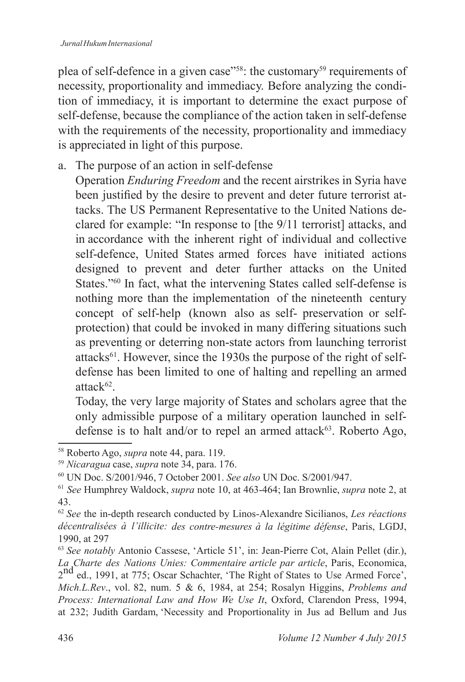plea of self-defence in a given case"<sup>58</sup>: the customary<sup>59</sup> requirements of necessity, proportionality and immediacy. Before analyzing the condition of immediacy, it is important to determine the exact purpose of self-defense, because the compliance of the action taken in self-defense with the requirements of the necessity, proportionality and immediacy is appreciated in light of this purpose.

a. The purpose of an action in self-defense

 Operation *Enduring Freedom* and the recent airstrikes in Syria have been justified by the desire to prevent and deter future terrorist attacks. The US Permanent Representative to the United Nations declared for example: "In response to [the 9/11 terrorist] attacks, and in accordance with the inherent right of individual and collective self-defence, United States armed forces have initiated actions designed to prevent and deter further attacks on the United States."<sup>60</sup> In fact, what the intervening States called self-defense is nothing more than the implementation of the nineteenth century concept of self-help (known also as self- preservation or selfprotection) that could be invoked in many differing situations such as preventing or deterring non-state actors from launching terrorist attacks61. However, since the 1930s the purpose of the right of selfdefense has been limited to one of halting and repelling an armed  $\text{attack}^{62}.$ 

 Today, the very large majority of States and scholars agree that the only admissible purpose of a military operation launched in selfdefense is to halt and/or to repel an armed attack $63$ . Roberto Ago,

<sup>58</sup> Roberto Ago, *supra* note 44, para. 119.

<sup>59</sup> *Nicaragua* case, *supra* note 34, para. 176.

<sup>60</sup> UN Doc. S/2001/946, 7 October 2001. *See also* UN Doc. S/2001/947.

<sup>61</sup> *See* Humphrey Waldock, *supra* note 10, at 463-464; Ian Brownlie, *supra* note 2, at 43.

<sup>62</sup> *See* the in-depth research conducted by Linos-Alexandre Sicilianos, *Les réactions décentralisées à l'illicite: des contre-mesures à la légitime défense*, Paris, LGDJ, 1990, at 297

<sup>&</sup>lt;sup>63</sup> See notably Antonio Cassese, 'Article 51', in: Jean-Pierre Cot, Alain Pellet (dir.), *La Charte des Nations Unies: Commentaire article par article*, Paris, Economica, 2<sup>nd</sup> ed., 1991, at 775; Oscar Schachter, 'The Right of States to Use Armed Force', *Mich.L.Rev*., vol. 82, num. 5 & 6, 1984, at 254; Rosalyn Higgins, *Problems and Process: International Law and How We Use It*, Oxford, Clarendon Press, 1994, at 232; Judith Gardam, 'Necessity and Proportionality in Jus ad Bellum and Jus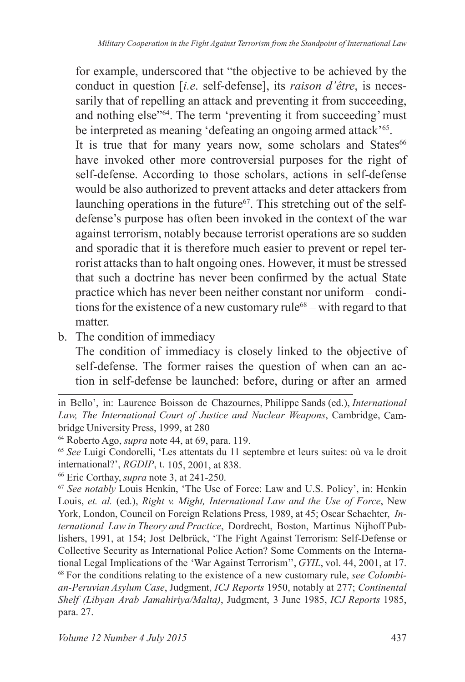for example, underscored that "the objective to be achieved by the conduct in question [*i.e*. self-defense], its *raison d'être*, is necessarily that of repelling an attack and preventing it from succeeding, and nothing else<sup>"64</sup>. The term 'preventing it from succeeding' must be interpreted as meaning 'defeating an ongoing armed attack<sup>'65</sup>. It is true that for many years now, some scholars and States $66$ have invoked other more controversial purposes for the right of self-defense. According to those scholars, actions in self-defense would be also authorized to prevent attacks and deter attackers from launching operations in the future<sup>67</sup>. This stretching out of the selfdefense's purpose has often been invoked in the context of the war against terrorism, notably because terrorist operations are so sudden and sporadic that it is therefore much easier to prevent or repel terrorist attacks than to halt ongoing ones. However, it must be stressed that such a doctrine has never been confirmed by the actual State practice which has never been neither constant nor uniform – conditions for the existence of a new customary rule<sup>68</sup> – with regard to that matter.

b. The condition of immediacy

 The condition of immediacy is closely linked to the objective of self-defense. The former raises the question of when can an action in self-defense be launched: before, during or after an armed

<sup>64</sup> Roberto Ago, *supra* note 44, at 69, para. 119.

<sup>65</sup> *See* Luigi Condorelli, 'Les attentats du 11 septembre et leurs suites: où va le droit international?', *RGDIP*, t. 105, 2001, at 838.

in Bello', in: Laurence Boisson de Chazournes, Philippe Sands (ed.), *International Law, The International Court of Justice and Nuclear Weapons*, Cambridge, Cambridge University Press, 1999, at 280

<sup>66</sup> Eric Corthay, *supra* note 3, at 241-250.

<sup>67</sup> *See notably* Louis Henkin, 'The Use of Force: Law and U.S. Policy', in: Henkin Louis, *et. al.* (ed.), *Right v. Might, International Law and the Use of Force*, New York, London, Council on Foreign Relations Press, 1989, at 45; Oscar Schachter, *International Law in Theory and Practice*, Dordrecht, Boston, Martinus Nijhoff Publishers, 1991, at 154; Jost Delbrück, 'The Fight Against Terrorism: Self-Defense or Collective Security as International Police Action? Some Comments on the International Legal Implications of the 'War Against Terrorism'', *GYIL*, vol. 44, 2001, at 17. 68 For the conditions relating to the existence of a new customary rule, *see Colombian-Peruvian Asylum Case*, Judgment, *ICJ Reports* 1950, notably at 277; *Continental Shelf (Libyan Arab Jamahiriya/Malta)*, Judgment, 3 June 1985, *ICJ Reports* 1985, para. 27.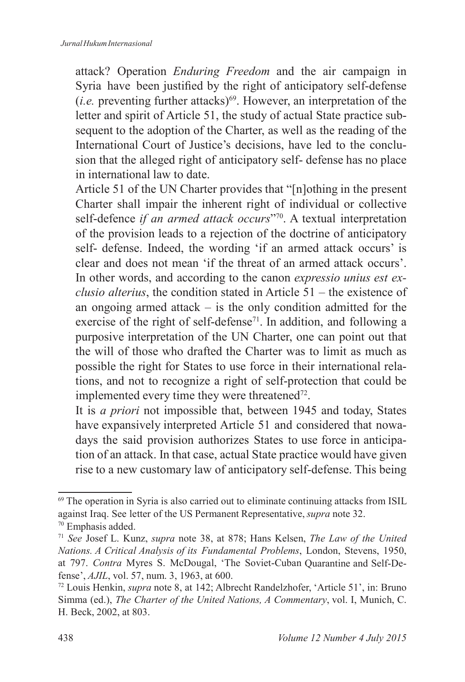attack? Operation *Enduring Freedom* and the air campaign in Syria have been justified by the right of anticipatory self-defense  $(i.e.$  preventing further attacks)<sup>69</sup>. However, an interpretation of the letter and spirit of Article 51, the study of actual State practice subsequent to the adoption of the Charter, as well as the reading of the International Court of Justice's decisions, have led to the conclusion that the alleged right of anticipatory self- defense has no place in international law to date.

 Article 51 of the UN Charter provides that "[n]othing in the present Charter shall impair the inherent right of individual or collective self-defence *if an armed attack occurs*" <sup>70</sup>. A textual interpretation of the provision leads to a rejection of the doctrine of anticipatory self- defense. Indeed, the wording 'if an armed attack occurs' is clear and does not mean 'if the threat of an armed attack occurs'. In other words, and according to the canon *expressio unius est exclusio alterius*, the condition stated in Article 51 – the existence of an ongoing armed attack – is the only condition admitted for the exercise of the right of self-defense<sup>71</sup>. In addition, and following a purposive interpretation of the UN Charter, one can point out that the will of those who drafted the Charter was to limit as much as possible the right for States to use force in their international relations, and not to recognize a right of self-protection that could be implemented every time they were threatened<sup>72</sup>.

 It is *a priori* not impossible that, between 1945 and today, States have expansively interpreted Article 51 and considered that nowadays the said provision authorizes States to use force in anticipation of an attack. In that case, actual State practice would have given rise to a new customary law of anticipatory self-defense. This being

<sup>69</sup> The operation in Syria is also carried out to eliminate continuing attacks from ISIL against Iraq. See letter of the US Permanent Representative, *supra* note 32.

<sup>70</sup> Emphasis added.

<sup>71</sup> *See* Josef L. Kunz, *supra* note 38, at 878; Hans Kelsen, *The Law of the United Nations. A Critical Analysis of its Fundamental Problems*, London, Stevens, 1950, at 797. *Contra* Myres S. McDougal, 'The Soviet-Cuban Quarantine and Self-Defense', *AJIL*, vol. 57, num. 3, 1963, at 600.

<sup>72</sup> Louis Henkin, *supra* note 8, at 142; Albrecht Randelzhofer, 'Article 51', in: Bruno Simma (ed.), *The Charter of the United Nations, A Commentary*, vol. I, Munich, C. H. Beck, 2002, at 803.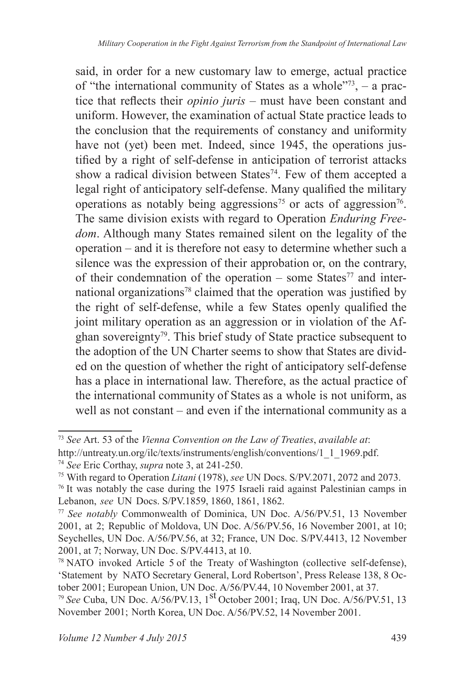said, in order for a new customary law to emerge, actual practice of "the international community of States as a whole"73, – a practice that reflects their *opinio juris* – must have been constant and uniform. However, the examination of actual State practice leads to the conclusion that the requirements of constancy and uniformity have not (yet) been met. Indeed, since 1945, the operations justified by a right of self-defense in anticipation of terrorist attacks show a radical division between States<sup>74</sup>. Few of them accepted a legal right of anticipatory self-defense. Many qualified the military operations as notably being aggressions<sup>75</sup> or acts of aggression<sup>76</sup>. The same division exists with regard to Operation *Enduring Freedom*. Although many States remained silent on the legality of the operation – and it is therefore not easy to determine whether such a silence was the expression of their approbation or, on the contrary, of their condemnation of the operation – some States<sup>77</sup> and international organizations<sup>78</sup> claimed that the operation was justified by the right of self-defense, while a few States openly qualified the joint military operation as an aggression or in violation of the Afghan sovereignty<sup>79</sup>. This brief study of State practice subsequent to the adoption of the UN Charter seems to show that States are divided on the question of whether the right of anticipatory self-defense has a place in international law. Therefore, as the actual practice of the international community of States as a whole is not uniform, as well as not constant – and even if the international community as a

<sup>73</sup> *See* Art. 53 of the *Vienna Convention on the Law of Treaties*, *available at*:

http://untreaty.un.org/ilc/texts/instruments/english/conventions/1\_1\_1969.pdf.

<sup>74</sup> *See* Eric Corthay, *supra* note 3, at 241-250.

<sup>75</sup> With regard to Operation *Litani* (1978), *see* UN Docs. S/PV.2071, 2072 and 2073.

<sup>76</sup> It was notably the case during the 1975 Israeli raid against Palestinian camps in Lebanon, *see* UN Docs. S/PV.1859, 1860, 1861, 1862.

<sup>77</sup> *See notably* Commonwealth of Dominica, UN Doc. A/56/PV.51, 13 November 2001, at 2; Republic of Moldova, UN Doc. A/56/PV.56, 16 November 2001, at 10; Seychelles, UN Doc. A/56/PV.56, at 32; France, UN Doc. S/PV.4413, 12 November 2001, at 7; Norway, UN Doc. S/PV.4413, at 10.

<sup>78</sup> NATO invoked Article 5 of the Treaty of Washington (collective self-defense), 'Statement by NATO Secretary General, Lord Robertson', Press Release 138, 8 October 2001; European Union, UN Doc. A/56/PV.44, 10 November 2001, at 37.

<sup>79</sup> *See* Cuba, UN Doc. A/56/PV.13, 1st October 2001; Iraq, UN Doc. A/56/PV.51, 13 November 2001; North Korea, UN Doc. A/56/PV.52, 14 November 2001.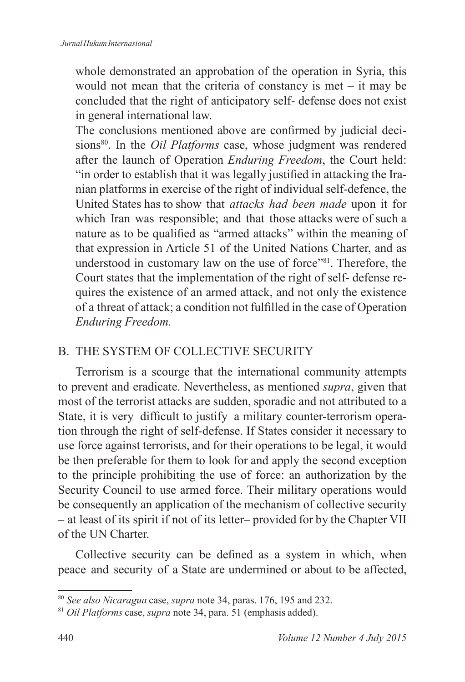whole demonstrated an approbation of the operation in Syria, this would not mean that the criteria of constancy is met – it may be concluded that the right of anticipatory self- defense does not exist in general international law.

 The conclusions mentioned above are confirmed by judicial decisions<sup>80</sup>. In the *Oil Platforms* case, whose judgment was rendered after the launch of Operation *Enduring Freedom*, the Court held: "in order to establish that it was legally justified in attacking the Iranian platforms in exercise of the right of individual self-defence, the United States has to show that *attacks had been made* upon it for which Iran was responsible; and that those attacks were of such a nature as to be qualified as "armed attacks" within the meaning of that expression in Article 51 of the United Nations Charter, and as understood in customary law on the use of force"<sup>81</sup>. Therefore, the Court states that the implementation of the right of self- defense requires the existence of an armed attack, and not only the existence of a threat of attack; a condition not fulfilled in the case of Operation *Enduring Freedom.*

# B. THE SYSTEM OF COLLECTIVE SECURITY

Terrorism is a scourge that the international community attempts to prevent and eradicate. Nevertheless, as mentioned *supra*, given that most of the terrorist attacks are sudden, sporadic and not attributed to a State, it is very difficult to justify a military counter-terrorism operation through the right of self-defense. If States consider it necessary to use force against terrorists, and for their operations to be legal, it would be then preferable for them to look for and apply the second exception to the principle prohibiting the use of force: an authorization by the Security Council to use armed force. Their military operations would be consequently an application of the mechanism of collective security – at least of its spirit if not of its letter– provided for by the Chapter VII of the UN Charter.

Collective security can be defined as a system in which, when peace and security of a State are undermined or about to be affected,

<sup>80</sup> *See also Nicaragua* case, *supra* note 34, paras. 176, 195 and 232.

<sup>81</sup> *Oil Platforms* case, *supra* note 34, para. 51 (emphasis added).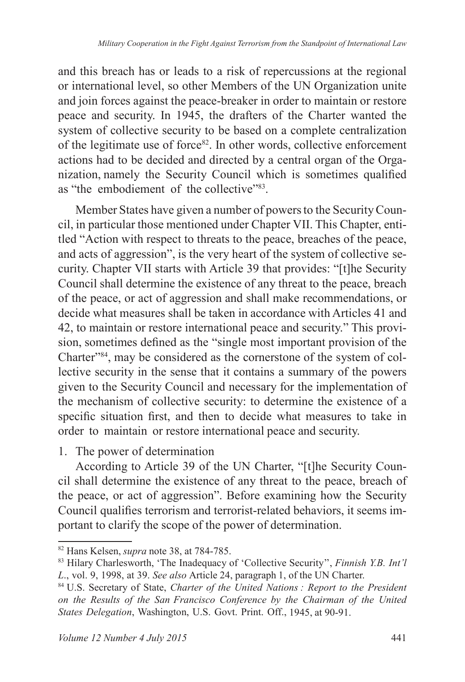and this breach has or leads to a risk of repercussions at the regional or international level, so other Members of the UN Organization unite and join forces against the peace-breaker in order to maintain or restore peace and security. In 1945, the drafters of the Charter wanted the system of collective security to be based on a complete centralization of the legitimate use of force<sup>82</sup>. In other words, collective enforcement actions had to be decided and directed by a central organ of the Organization, namely the Security Council which is sometimes qualified as "the embodiement of the collective"<sup>83</sup>.

Member States have given a number of powers to the Security Council, in particular those mentioned under Chapter VII. This Chapter, entitled "Action with respect to threats to the peace, breaches of the peace, and acts of aggression", is the very heart of the system of collective security. Chapter VII starts with Article 39 that provides: "[t]he Security Council shall determine the existence of any threat to the peace, breach of the peace, or act of aggression and shall make recommendations, or decide what measures shall be taken in accordance with Articles 41 and 42, to maintain or restore international peace and security." This provision, sometimes defined as the "single most important provision of the Charter"84, may be considered as the cornerstone of the system of collective security in the sense that it contains a summary of the powers given to the Security Council and necessary for the implementation of the mechanism of collective security: to determine the existence of a specific situation first, and then to decide what measures to take in order to maintain or restore international peace and security.

1. The power of determination

According to Article 39 of the UN Charter, "[t]he Security Council shall determine the existence of any threat to the peace, breach of the peace, or act of aggression". Before examining how the Security Council qualifies terrorism and terrorist-related behaviors, it seems important to clarify the scope of the power of determination.

<sup>82</sup> Hans Kelsen, *supra* note 38, at 784-785.

<sup>83</sup> Hilary Charlesworth, 'The Inadequacy of 'Collective Security'', *Finnish Y.B. Int'l L*., vol. 9, 1998, at 39. *See also* Article 24, paragraph 1, of the UN Charter.

<sup>84</sup> U.S. Secretary of State, *Charter of the United Nations : Report to the President on the Results of the San Francisco Conference by the Chairman of the United States Delegation*, Washington, U.S. Govt. Print. Off., 1945, at 90-91.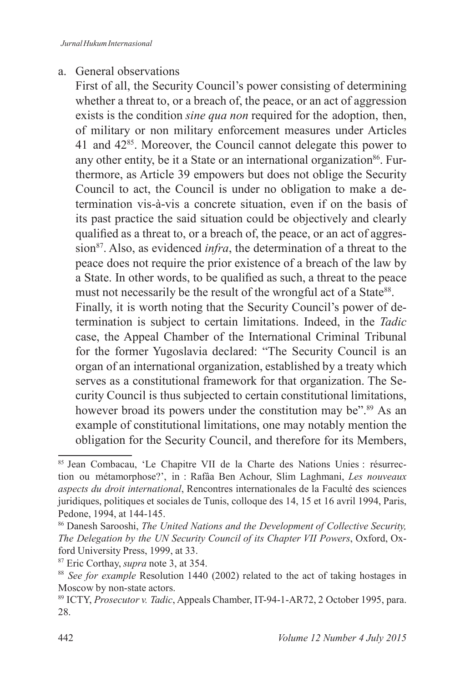#### a. General observations

 First of all, the Security Council's power consisting of determining whether a threat to, or a breach of, the peace, or an act of aggression exists is the condition *sine qua non* required for the adoption, then, of military or non military enforcement measures under Articles 41 and 42<sup>85</sup>. Moreover, the Council cannot delegate this power to any other entity, be it a State or an international organization<sup>86</sup>. Furthermore, as Article 39 empowers but does not oblige the Security Council to act, the Council is under no obligation to make a determination vis-à-vis a concrete situation, even if on the basis of its past practice the said situation could be objectively and clearly qualified as a threat to, or a breach of, the peace, or an act of aggression<sup>87</sup>. Also, as evidenced *infra*, the determination of a threat to the peace does not require the prior existence of a breach of the law by a State. In other words, to be qualified as such, a threat to the peace must not necessarily be the result of the wrongful act of a State<sup>88</sup>.

 Finally, it is worth noting that the Security Council's power of determination is subject to certain limitations. Indeed, in the *Tadic*  case, the Appeal Chamber of the International Criminal Tribunal for the former Yugoslavia declared: "The Security Council is an organ of an international organization, established by a treaty which serves as a constitutional framework for that organization. The Security Council is thus subjected to certain constitutional limitations, however broad its powers under the constitution may be".<sup>89</sup> As an example of constitutional limitations, one may notably mention the obligation for the Security Council, and therefore for its Members,

<sup>85</sup> Jean Combacau, 'Le Chapitre VII de la Charte des Nations Unies : résurrection ou métamorphose?', in : Rafâa Ben Achour, Slim Laghmani, *Les nouveaux aspects du droit international*, Rencontres internationales de la Faculté des sciences juridiques, politiques et sociales de Tunis, colloque des 14, 15 et 16 avril 1994, Paris, Pedone, 1994, at 144-145.

<sup>86</sup> Danesh Sarooshi, *The United Nations and the Development of Collective Security, The Delegation by the UN Security Council of its Chapter VII Powers*, Oxford, Oxford University Press, 1999, at 33.

<sup>87</sup> Eric Corthay, *supra* note 3, at 354.

<sup>88</sup> *See for example* Resolution 1440 (2002) related to the act of taking hostages in Moscow by non-state actors.

<sup>89</sup> ICTY, *Prosecutor v. Tadic*, Appeals Chamber, IT-94-1-AR72, 2 October 1995, para. 28.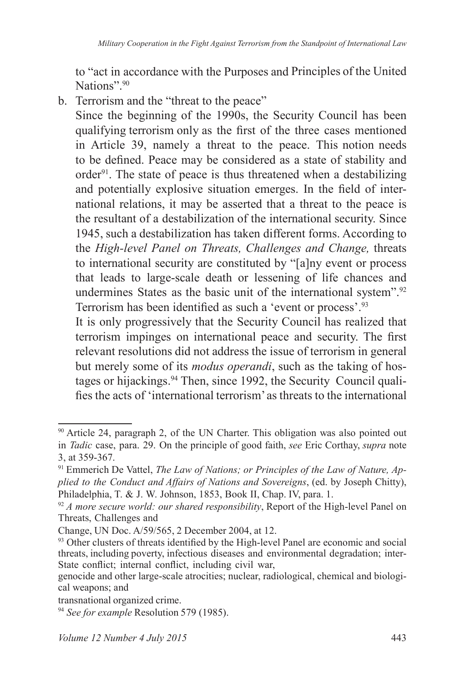to "act in accordance with the Purposes and Principles of the United Nations".90

b. Terrorism and the "threat to the peace"

 Since the beginning of the 1990s, the Security Council has been qualifying terrorism only as the first of the three cases mentioned in Article 39, namely a threat to the peace. This notion needs to be defined. Peace may be considered as a state of stability and order<sup>91</sup>. The state of peace is thus threatened when a destabilizing and potentially explosive situation emerges. In the field of international relations, it may be asserted that a threat to the peace is the resultant of a destabilization of the international security. Since 1945, such a destabilization has taken different forms. According to the *High-level Panel on Threats, Challenges and Change,* threats to international security are constituted by "[a]ny event or process that leads to large-scale death or lessening of life chances and undermines States as the basic unit of the international system".<sup>92</sup> Terrorism has been identified as such a 'event or process'.<sup>93</sup>

 It is only progressively that the Security Council has realized that terrorism impinges on international peace and security. The first relevant resolutions did not address the issue of terrorism in general but merely some of its *modus operandi*, such as the taking of hostages or hijackings.<sup>94</sup> Then, since 1992, the Security Council qualifies the acts of 'international terrorism' as threats to the international

<sup>90</sup> Article 24, paragraph 2, of the UN Charter. This obligation was also pointed out in *Tadic* case, para. 29. On the principle of good faith, *see* Eric Corthay, *supra* note 3, at 359-367.

<sup>91</sup> Emmerich De Vattel, *The Law of Nations; or Principles of the Law of Nature, Applied to the Conduct and Affairs of Nations and Sovereigns*, (ed. by Joseph Chitty), Philadelphia, T. & J. W. Johnson, 1853, Book II, Chap. IV, para. 1.

<sup>92</sup> *A more secure world: our shared responsibility*, Report of the High-level Panel on Threats, Challenges and

Change, UN Doc. A/59/565, 2 December 2004, at 12.

<sup>&</sup>lt;sup>93</sup> Other clusters of threats identified by the High-level Panel are economic and social threats, including poverty, infectious diseases and environmental degradation; inter-State conflict; internal conflict, including civil war,

genocide and other large-scale atrocities; nuclear, radiological, chemical and biological weapons; and

transnational organized crime.

<sup>94</sup> *See for example* Resolution 579 (1985).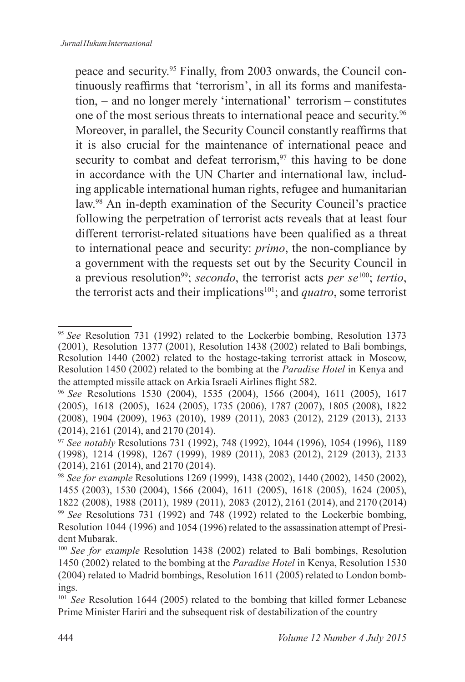peace and security.95 Finally, from 2003 onwards, the Council continuously reaffirms that 'terrorism', in all its forms and manifestation, – and no longer merely 'international' terrorism – constitutes one of the most serious threats to international peace and security.<sup>96</sup> Moreover, in parallel, the Security Council constantly reaffirms that it is also crucial for the maintenance of international peace and security to combat and defeat terrorism.<sup>97</sup> this having to be done in accordance with the UN Charter and international law, including applicable international human rights, refugee and humanitarian law.<sup>98</sup> An in-depth examination of the Security Council's practice following the perpetration of terrorist acts reveals that at least four different terrorist-related situations have been qualified as a threat to international peace and security: *primo*, the non-compliance by a government with the requests set out by the Security Council in a previous resolution<sup>99</sup>; *secondo*, the terrorist acts *per se*<sup>100</sup>; *tertio*, the terrorist acts and their implications<sup>101</sup>; and *quatro*, some terrorist

<sup>95</sup> *See* Resolution 731 (1992) related to the Lockerbie bombing, Resolution 1373 (2001), Resolution 1377 (2001), Resolution 1438 (2002) related to Bali bombings, Resolution 1440 (2002) related to the hostage-taking terrorist attack in Moscow, Resolution 1450 (2002) related to the bombing at the *Paradise Hotel* in Kenya and the attempted missile attack on Arkia Israeli Airlines flight 582.

<sup>96</sup> *See* Resolutions 1530 (2004), 1535 (2004), 1566 (2004), 1611 (2005), 1617 (2005), 1618 (2005), 1624 (2005), 1735 (2006), 1787 (2007), 1805 (2008), 1822 (2008), 1904 (2009), 1963 (2010), 1989 (2011), 2083 (2012), 2129 (2013), 2133 (2014), 2161 (2014), and 2170 (2014).

<sup>97</sup> *See notably* Resolutions 731 (1992), 748 (1992), 1044 (1996), 1054 (1996), 1189 (1998), 1214 (1998), 1267 (1999), 1989 (2011), 2083 (2012), 2129 (2013), 2133 (2014), 2161 (2014), and 2170 (2014).

<sup>98</sup> *See for example* Resolutions 1269 (1999), 1438 (2002), 1440 (2002), 1450 (2002), 1455 (2003), 1530 (2004), 1566 (2004), 1611 (2005), 1618 (2005), 1624 (2005), 1822 (2008), 1988 (2011), 1989 (2011), 2083 (2012), 2161 (2014), and 2170 (2014) <sup>99</sup> *See* Resolutions 731 (1992) and 748 (1992) related to the Lockerbie bombing, Resolution 1044 (1996) and 1054 (1996) related to the assassination attempt of President Mubarak.

<sup>100</sup> *See for example* Resolution 1438 (2002) related to Bali bombings, Resolution 1450 (2002) related to the bombing at the *Paradise Hotel* in Kenya, Resolution 1530 (2004) related to Madrid bombings, Resolution 1611 (2005) related to London bombings.

<sup>101</sup> *See* Resolution 1644 (2005) related to the bombing that killed former Lebanese Prime Minister Hariri and the subsequent risk of destabilization of the country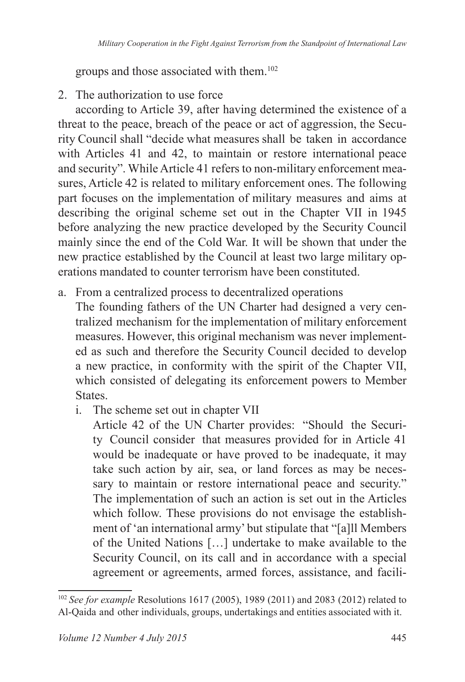groups and those associated with them.<sup>102</sup>

# 2. The authorization to use force

according to Article 39, after having determined the existence of a threat to the peace, breach of the peace or act of aggression, the Security Council shall "decide what measures shall be taken in accordance with Articles 41 and 42, to maintain or restore international peace and security". While Article 41 refers to non-military enforcement measures, Article 42 is related to military enforcement ones. The following part focuses on the implementation of military measures and aims at describing the original scheme set out in the Chapter VII in 1945 before analyzing the new practice developed by the Security Council mainly since the end of the Cold War. It will be shown that under the new practice established by the Council at least two large military operations mandated to counter terrorism have been constituted.

a. From a centralized process to decentralized operations

 The founding fathers of the UN Charter had designed a very centralized mechanism for the implementation of military enforcement measures. However, this original mechanism was never implemented as such and therefore the Security Council decided to develop a new practice, in conformity with the spirit of the Chapter VII, which consisted of delegating its enforcement powers to Member **States** 

i. The scheme set out in chapter VII

 Article 42 of the UN Charter provides: "Should the Security Council consider that measures provided for in Article 41 would be inadequate or have proved to be inadequate, it may take such action by air, sea, or land forces as may be necessary to maintain or restore international peace and security." The implementation of such an action is set out in the Articles which follow. These provisions do not envisage the establishment of 'an international army' but stipulate that "[a]ll Members of the United Nations […] undertake to make available to the Security Council, on its call and in accordance with a special agreement or agreements, armed forces, assistance, and facili-

<sup>102</sup> *See for example* Resolutions 1617 (2005), 1989 (2011) and 2083 (2012) related to Al-Qaida and other individuals, groups, undertakings and entities associated with it.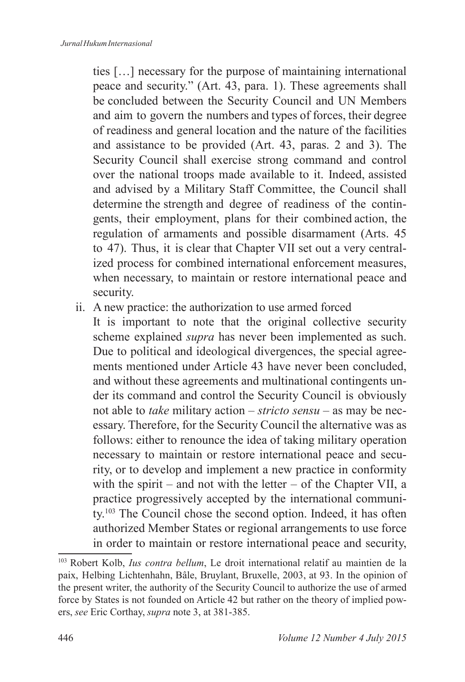ties […] necessary for the purpose of maintaining international peace and security." (Art. 43, para. 1). These agreements shall be concluded between the Security Council and UN Members and aim to govern the numbers and types of forces, their degree of readiness and general location and the nature of the facilities and assistance to be provided (Art. 43, paras. 2 and 3). The Security Council shall exercise strong command and control over the national troops made available to it. Indeed, assisted and advised by a Military Staff Committee, the Council shall determine the strength and degree of readiness of the contingents, their employment, plans for their combined action, the regulation of armaments and possible disarmament (Arts. 45 to 47). Thus, it is clear that Chapter VII set out a very centralized process for combined international enforcement measures, when necessary, to maintain or restore international peace and security.

- ii. A new practice: the authorization to use armed forced
- It is important to note that the original collective security scheme explained *supra* has never been implemented as such. Due to political and ideological divergences, the special agreements mentioned under Article 43 have never been concluded, and without these agreements and multinational contingents under its command and control the Security Council is obviously not able to *take* military action – *stricto sensu* – as may be necessary. Therefore, for the Security Council the alternative was as follows: either to renounce the idea of taking military operation necessary to maintain or restore international peace and security, or to develop and implement a new practice in conformity with the spirit – and not with the letter – of the Chapter VII, a practice progressively accepted by the international community.<sup>103</sup> The Council chose the second option. Indeed, it has often authorized Member States or regional arrangements to use force in order to maintain or restore international peace and security,

<sup>103</sup> Robert Kolb, *Ius contra bellum*, Le droit international relatif au maintien de la paix, Helbing Lichtenhahn, Bâle, Bruylant, Bruxelle, 2003, at 93. In the opinion of the present writer, the authority of the Security Council to authorize the use of armed force by States is not founded on Article 42 but rather on the theory of implied powers, *see* Eric Corthay, *supra* note 3, at 381-385.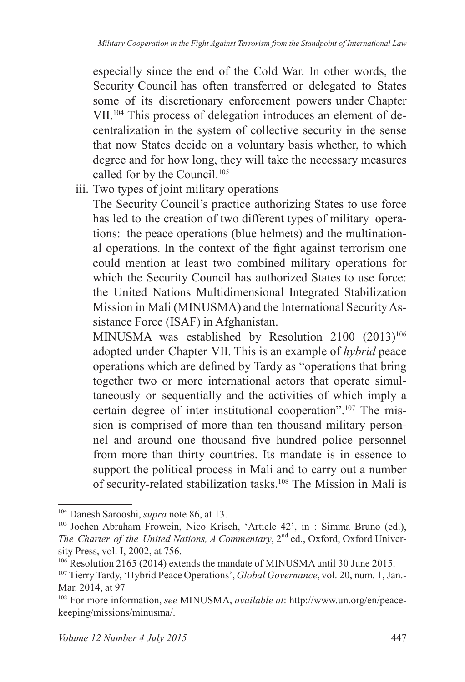especially since the end of the Cold War. In other words, the Security Council has often transferred or delegated to States some of its discretionary enforcement powers under Chapter VII.104 This process of delegation introduces an element of decentralization in the system of collective security in the sense that now States decide on a voluntary basis whether, to which degree and for how long, they will take the necessary measures called for by the Council.<sup>105</sup>

iii. Two types of joint military operations

 The Security Council's practice authorizing States to use force has led to the creation of two different types of military operations: the peace operations (blue helmets) and the multinational operations. In the context of the fight against terrorism one could mention at least two combined military operations for which the Security Council has authorized States to use force: the United Nations Multidimensional Integrated Stabilization Mission in Mali (MINUSMA) and the International Security Assistance Force (ISAF) in Afghanistan.

MINUSMA was established by Resolution 2100 (2013)<sup>106</sup> adopted under Chapter VII. This is an example of *hybrid* peace operations which are defined by Tardy as "operations that bring together two or more international actors that operate simultaneously or sequentially and the activities of which imply a certain degree of inter institutional cooperation".107 The mission is comprised of more than ten thousand military personnel and around one thousand five hundred police personnel from more than thirty countries. Its mandate is in essence to support the political process in Mali and to carry out a number of security-related stabilization tasks.<sup>108</sup> The Mission in Mali is

<sup>104</sup> Danesh Sarooshi, *supra* note 86, at 13.

<sup>105</sup> Jochen Abraham Frowein, Nico Krisch, 'Article 42', in : Simma Bruno (ed.), *The Charter of the United Nations, A Commentary*, 2nd ed., Oxford, Oxford University Press, vol. I, 2002, at 756.

<sup>106</sup> Resolution 2165 (2014) extends the mandate of MINUSMA until 30 June 2015.

<sup>107</sup> Tierry Tardy, 'Hybrid Peace Operations', *Global Governance*, vol. 20, num. 1, Jan.- Mar. 2014, at 97

<sup>108</sup> For more information, *see* MINUSMA, *available at*: http://www.un.org/en/peacekeeping/missions/minusma/.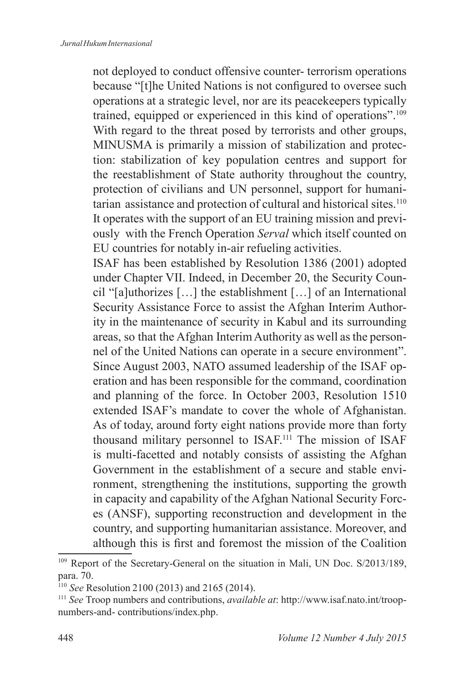not deployed to conduct offensive counter- terrorism operations because "It the United Nations is not configured to oversee such operations at a strategic level, nor are its peacekeepers typically trained, equipped or experienced in this kind of operations".<sup>109</sup> With regard to the threat posed by terrorists and other groups, MINUSMA is primarily a mission of stabilization and protection: stabilization of key population centres and support for the reestablishment of State authority throughout the country, protection of civilians and UN personnel, support for humanitarian assistance and protection of cultural and historical sites.<sup>110</sup> It operates with the support of an EU training mission and previously with the French Operation *Serval* which itself counted on EU countries for notably in-air refueling activities.

 ISAF has been established by Resolution 1386 (2001) adopted under Chapter VII. Indeed, in December 20, the Security Council "[a]uthorizes […] the establishment […] of an International Security Assistance Force to assist the Afghan Interim Authority in the maintenance of security in Kabul and its surrounding areas, so that the Afghan Interim Authority as well as the personnel of the United Nations can operate in a secure environment". Since August 2003, NATO assumed leadership of the ISAF operation and has been responsible for the command, coordination and planning of the force. In October 2003, Resolution 1510 extended ISAF's mandate to cover the whole of Afghanistan. As of today, around forty eight nations provide more than forty thousand military personnel to ISAF.<sup>111</sup> The mission of ISAF is multi-facetted and notably consists of assisting the Afghan Government in the establishment of a secure and stable environment, strengthening the institutions, supporting the growth in capacity and capability of the Afghan National Security Forces (ANSF), supporting reconstruction and development in the country, and supporting humanitarian assistance. Moreover, and although this is first and foremost the mission of the Coalition

<sup>&</sup>lt;sup>109</sup> Report of the Secretary-General on the situation in Mali, UN Doc. S/2013/189, para. 70.

<sup>110</sup> *See* Resolution 2100 (2013) and 2165 (2014).

<sup>111</sup> *See* Troop numbers and contributions, *available at*: http://www.isaf.nato.int/troopnumbers-and- contributions/index.php.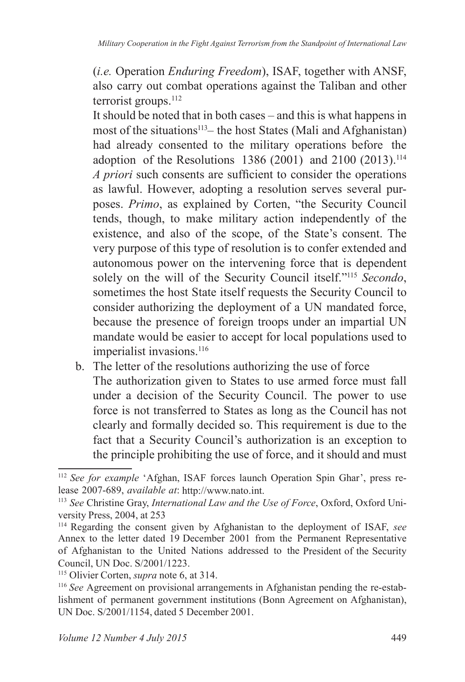(*i.e.* Operation *Enduring Freedom*), ISAF, together with ANSF, also carry out combat operations against the Taliban and other terrorist groups. $^{112}$ 

 It should be noted that in both cases – and this is what happens in most of the situations<sup>113</sup>– the host States (Mali and Afghanistan) had already consented to the military operations before the adoption of the Resolutions 1386 (2001) and 2100 (2013).<sup>114</sup> *A priori* such consents are sufficient to consider the operations as lawful. However, adopting a resolution serves several purposes. *Primo*, as explained by Corten, "the Security Council tends, though, to make military action independently of the existence, and also of the scope, of the State's consent. The very purpose of this type of resolution is to confer extended and autonomous power on the intervening force that is dependent solely on the will of the Security Council itself."<sup>115</sup> *Secondo*, sometimes the host State itself requests the Security Council to consider authorizing the deployment of a UN mandated force, because the presence of foreign troops under an impartial UN mandate would be easier to accept for local populations used to imperialist invasions.<sup>116</sup>

b. The letter of the resolutions authorizing the use of force The authorization given to States to use armed force must fall under a decision of the Security Council. The power to use force is not transferred to States as long as the Council has not clearly and formally decided so. This requirement is due to the fact that a Security Council's authorization is an exception to the principle prohibiting the use of force, and it should and must

<sup>112</sup> *See for example* 'Afghan, ISAF forces launch Operation Spin Ghar', press release 2007-689, *available at*: http://www.nato.int.

<sup>113</sup> *See* Christine Gray, *International Law and the Use of Force*, Oxford, Oxford University Press, 2004, at 253

<sup>114</sup> Regarding the consent given by Afghanistan to the deployment of ISAF, *see*  Annex to the letter dated 19 December 2001 from the Permanent Representative of Afghanistan to the United Nations addressed to the President of the Security Council, UN Doc. S/2001/1223.

<sup>115</sup> Olivier Corten, *supra* note 6, at 314.

<sup>116</sup> *See* Agreement on provisional arrangements in Afghanistan pending the re-establishment of permanent government institutions (Bonn Agreement on Afghanistan), UN Doc. S/2001/1154, dated 5 December 2001.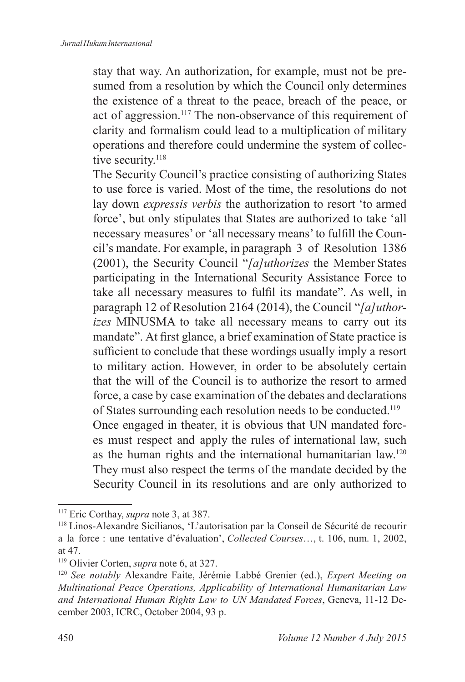stay that way. An authorization, for example, must not be presumed from a resolution by which the Council only determines the existence of a threat to the peace, breach of the peace, or act of aggression.<sup>117</sup> The non-observance of this requirement of clarity and formalism could lead to a multiplication of military operations and therefore could undermine the system of collective security.<sup>118</sup>

 The Security Council's practice consisting of authorizing States to use force is varied. Most of the time, the resolutions do not lay down *expressis verbis* the authorization to resort 'to armed force', but only stipulates that States are authorized to take 'all necessary measures' or 'all necessary means' to fulfill the Council's mandate. For example, in paragraph 3 of Resolution 1386 (2001), the Security Council "*[a]uthorizes* the Member States participating in the International Security Assistance Force to take all necessary measures to fulfil its mandate". As well, in paragraph 12 of Resolution 2164 (2014), the Council "*[a]uthorizes* MINUSMA to take all necessary means to carry out its mandate". At first glance, a brief examination of State practice is sufficient to conclude that these wordings usually imply a resort to military action. However, in order to be absolutely certain that the will of the Council is to authorize the resort to armed force, a case by case examination of the debates and declarations of States surrounding each resolution needs to be conducted.<sup>119</sup> Once engaged in theater, it is obvious that UN mandated forces must respect and apply the rules of international law, such as the human rights and the international humanitarian law.<sup>120</sup> They must also respect the terms of the mandate decided by the Security Council in its resolutions and are only authorized to

<sup>117</sup> Eric Corthay, *supra* note 3, at 387.

<sup>118</sup> Linos-Alexandre Sicilianos, 'L'autorisation par la Conseil de Sécurité de recourir a la force : une tentative d'évaluation', *Collected Courses*…, t. 106, num. 1, 2002, at 47.

<sup>119</sup> Olivier Corten, *supra* note 6, at 327.

<sup>120</sup> *See notably* Alexandre Faite, Jérémie Labbé Grenier (ed.), *Expert Meeting on Multinational Peace Operations, Applicability of International Humanitarian Law and International Human Rights Law to UN Mandated Forces*, Geneva, 11-12 December 2003, ICRC, October 2004, 93 p.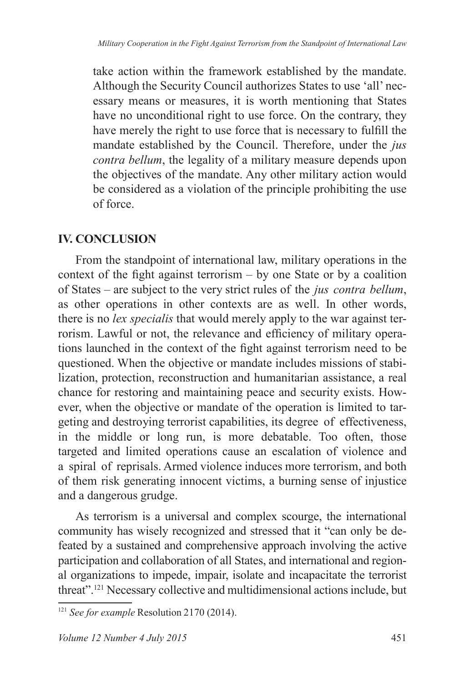take action within the framework established by the mandate. Although the Security Council authorizes States to use 'all' necessary means or measures, it is worth mentioning that States have no unconditional right to use force. On the contrary, they have merely the right to use force that is necessary to fulfill the mandate established by the Council. Therefore, under the *jus contra bellum*, the legality of a military measure depends upon the objectives of the mandate. Any other military action would be considered as a violation of the principle prohibiting the use of force.

# **IV. CONCLUSION**

From the standpoint of international law, military operations in the context of the fight against terrorism  $-$  by one State or by a coalition of States – are subject to the very strict rules of the *jus contra bellum*, as other operations in other contexts are as well. In other words, there is no *lex specialis* that would merely apply to the war against terrorism. Lawful or not, the relevance and efficiency of military operations launched in the context of the fight against terrorism need to be questioned. When the objective or mandate includes missions of stabilization, protection, reconstruction and humanitarian assistance, a real chance for restoring and maintaining peace and security exists. However, when the objective or mandate of the operation is limited to targeting and destroying terrorist capabilities, its degree of effectiveness, in the middle or long run, is more debatable. Too often, those targeted and limited operations cause an escalation of violence and a spiral of reprisals. Armed violence induces more terrorism, and both of them risk generating innocent victims, a burning sense of injustice and a dangerous grudge.

As terrorism is a universal and complex scourge, the international community has wisely recognized and stressed that it "can only be defeated by a sustained and comprehensive approach involving the active participation and collaboration of all States, and international and regional organizations to impede, impair, isolate and incapacitate the terrorist threat".<sup>121</sup> Necessary collective and multidimensional actions include, but

<sup>121</sup> *See for example* Resolution 2170 (2014).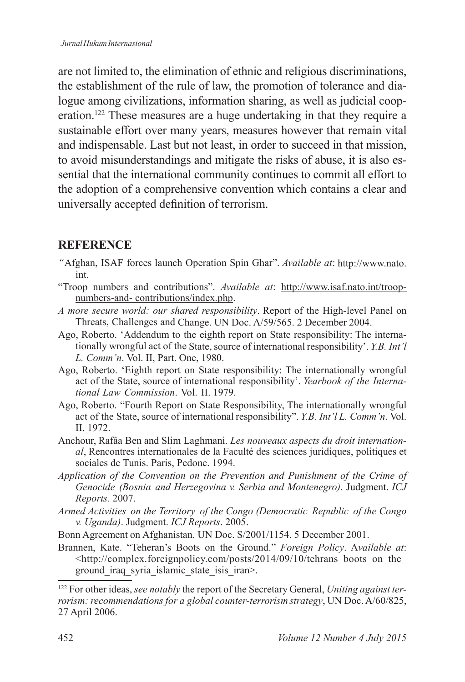are not limited to, the elimination of ethnic and religious discriminations, the establishment of the rule of law, the promotion of tolerance and dialogue among civilizations, information sharing, as well as judicial cooperation.<sup>122</sup> These measures are a huge undertaking in that they require a sustainable effort over many years, measures however that remain vital and indispensable. Last but not least, in order to succeed in that mission, to avoid misunderstandings and mitigate the risks of abuse, it is also essential that the international community continues to commit all effort to the adoption of a comprehensive convention which contains a clear and universally accepted definition of terrorism.

#### **REFERENCE**

- *"*Afghan, ISAF forces launch Operation Spin Ghar". *Available at*: http://www.nato. int.
- "Troop numbers and contributions". *Available at*: http://www.isaf.nato.int/troopnumbers-and- contributions/index.php.
- *A more secure world: our shared responsibility*. Report of the High-level Panel on Threats, Challenges and Change. UN Doc. A/59/565. 2 December 2004.
- Ago, Roberto. 'Addendum to the eighth report on State responsibility: The internationally wrongful act of the State, source of international responsibility'. *Y.B. Int'l L. Comm'n*. Vol. II, Part. One, 1980.
- Ago, Roberto. 'Eighth report on State responsibility: The internationally wrongful act of the State, source of international responsibility'. *Yearbook of the International Law Commission*. Vol. II. 1979.
- Ago, Roberto. "Fourth Report on State Responsibility, The internationally wrongful act of the State, source of international responsibility". *Y.B. Int'l L. Comm'n*. Vol. II. 1972.
- Anchour, Rafâa Ben and Slim Laghmani. *Les nouveaux aspects du droit international*, Rencontres internationales de la Faculté des sciences juridiques, politiques et sociales de Tunis. Paris, Pedone. 1994.
- *Application of the Convention on the Prevention and Punishment of the Crime of Genocide (Bosnia and Herzegovina v. Serbia and Montenegro)*. Judgment. *ICJ Reports.* 2007.
- *Armed Activities on the Territory of the Congo (Democratic Republic of the Congo v. Uganda)*. Judgment. *ICJ Reports*. 2005.
- Bonn Agreement on Afghanistan. UN Doc. S/2001/1154. 5 December 2001.
- Brannen, Kate. "Teheran's Boots on the Ground." *Foreign Policy*. A*vailable at*: <http://complex.foreignpolicy.com/posts/2014/09/10/tehrans\_boots\_on\_the\_ ground iraq syria islamic state isis iran>.

<sup>122</sup> For other ideas, *see notably* the report of the Secretary General, *Uniting against terrorism: recommendations for a global counter-terrorism strategy*, UN Doc. A/60/825, 27 April 2006.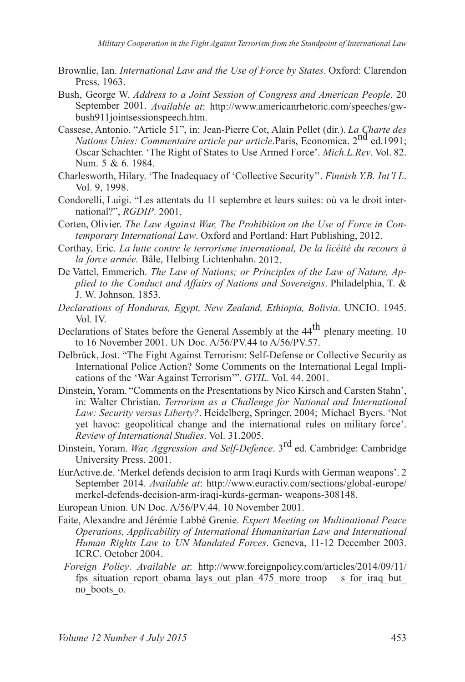- Brownlie, Ian. *International Law and the Use of Force by States*. Oxford: Clarendon Press, 1963.
- Bush, George W. *Address to a Joint Session of Congress and American People*. 20 September 2001. *Available at*: http://www.americanrhetoric.com/speeches/gwbush911jointsessionspeech.htm.
- Cassese, Antonio. "Article 51", in: Jean-Pierre Cot, Alain Pellet (dir.). *La Charte des Nations Unies: Commentaire article par article*.Paris, Economica. 2nd ed.1991; Oscar Schachter. 'The Right of States to Use Armed Force'. *Mich.L.Rev*. Vol. 82. Num. 5 & 6. 1984.
- Charlesworth, Hilary. 'The Inadequacy of 'Collective Security''. *Finnish Y.B. Int'l L*. Vol. 9, 1998.
- Condorelli, Luigi. "Les attentats du 11 septembre et leurs suites: où va le droit international?", *RGDIP*. 2001.
- Corten, Olivier. *The Law Against War, The Prohibition on the Use of Force in Contemporary International Law*. Oxford and Portland: Hart Publishing, 2012.
- Corthay, Eric. *La lutte contre le terrorisme international, De la licéité du recours à la force armée.* Bâle, Helbing Lichtenhahn. 2012.
- De Vattel, Emmerich. *The Law of Nations; or Principles of the Law of Nature, Applied to the Conduct and Affairs of Nations and Sovereigns*. Philadelphia, T. & J. W. Johnson. 1853.
- *Declarations of Honduras, Egypt, New Zealand, Ethiopia, Bolivia*. UNCIO. 1945. Vol. IV.
- Declarations of States before the General Assembly at the  $44<sup>th</sup>$  plenary meeting. 10 to 16 November 2001. UN Doc. A/56/PV.44 to A/56/PV.57.
- Delbrück, Jost. "The Fight Against Terrorism: Self-Defense or Collective Security as International Police Action? Some Comments on the International Legal Implications of the 'War Against Terrorism'". *GYIL*. Vol. 44. 2001.
- Dinstein, Yoram. "Comments on the Presentations by Nico Kirsch and Carsten Stahn', in: Walter Christian. *Terrorism as a Challenge for National and International Law: Security versus Liberty?*. Heidelberg, Springer. 2004; Michael Byers. 'Not yet havoc: geopolitical change and the international rules on military force'. *Review of International Studies*. Vol. 31.2005.
- Dinstein, Yoram. *War, Aggression and Self-Defence*. 3rd ed. Cambridge: Cambridge University Press. 2001.
- EurActive.de. 'Merkel defends decision to arm Iraqi Kurds with German weapons'. 2 September 2014. *Available at*: http://www.euractiv.com/sections/global-europe/ merkel-defends-decision-arm-iraqi-kurds-german- weapons-308148.
- European Union. UN Doc. A/56/PV.44. 10 November 2001.
- Faite, Alexandre and Jérémie Labbé Grenie. *Expert Meeting on Multinational Peace Operations, Applicability of International Humanitarian Law and International Human Rights Law to UN Mandated Forces*. Geneva, 11-12 December 2003. ICRC. October 2004.
	- *Foreign Policy*. *Available at*: http://www.foreignpolicy.com/articles/2014/09/11/ fps situation report obama lays out plan  $475$  more troop s for iraq but no\_boots\_o.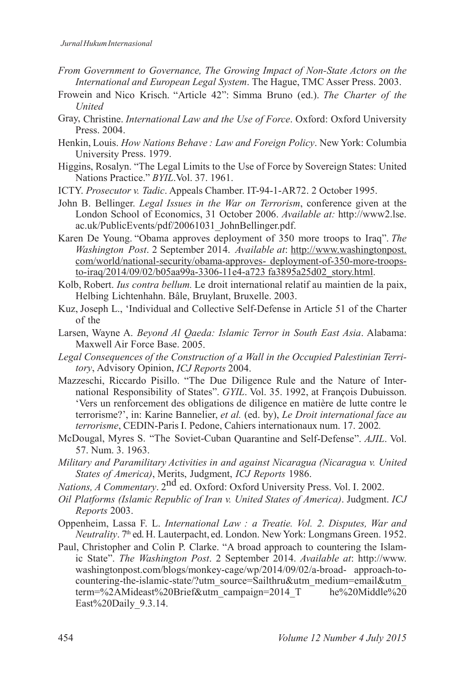- *From Government to Governance, The Growing Impact of Non-State Actors on the International and European Legal System*. The Hague, TMC Asser Press. 2003.
- Frowein and Nico Krisch. "Article 42": Simma Bruno (ed.). *The Charter of the United*
- Gray, Christine. *International Law and the Use of Force*. Oxford: Oxford University Press. 2004.
- Henkin, Louis. *How Nations Behave : Law and Foreign Policy*. New York: Columbia University Press. 1979.
- Higgins, Rosalyn. "The Legal Limits to the Use of Force by Sovereign States: United Nations Practice." *BYIL*.Vol. 37. 1961.
- ICTY. *Prosecutor v. Tadic*. Appeals Chamber. IT-94-1-AR72. 2 October 1995.
- John B. Bellinger. *Legal Issues in the War on Terrorism*, conference given at the London School of Economics, 31 October 2006. *Available at:* http://www2.lse. ac.uk/PublicEvents/pdf/20061031\_JohnBellinger.pdf.
- Karen De Young. "Obama approves deployment of 350 more troops to Iraq". *The Washington Post*. 2 September 2014. *Available at*: http://www.washingtonpost. com/world/national-security/obama-approves- deployment-of-350-more-troopsto-iraq/2014/09/02/b05aa99a-3306-11e4-a723 fa3895a25d02\_story.html.
- Kolb, Robert. *Ius contra bellum.* Le droit international relatif au maintien de la paix, Helbing Lichtenhahn. Bâle, Bruylant, Bruxelle. 2003.
- Kuz, Joseph L., 'Individual and Collective Self-Defense in Article 51 of the Charter of the
- Larsen, Wayne A. *Beyond Al Qaeda: Islamic Terror in South East Asia*. Alabama: Maxwell Air Force Base. 2005.
- *Legal Consequences of the Construction of a Wall in the Occupied Palestinian Territory*, Advisory Opinion, *ICJ Reports* 2004.
- Mazzeschi, Riccardo Pisillo. "The Due Diligence Rule and the Nature of International Responsibility of States". *GYIL*. Vol. 35. 1992, at François Dubuisson. 'Vers un renforcement des obligations de diligence en matière de lutte contre le terrorisme?', in: Karine Bannelier, *et al.* (ed. by), *Le Droit international face au terrorisme*, CEDIN-Paris I. Pedone, Cahiers internationaux num. 17. 2002*.*
- McDougal, Myres S. "The Soviet-Cuban Quarantine and Self-Defense". *AJIL*. Vol. 57. Num. 3. 1963.
- *Military and Paramilitary Activities in and against Nicaragua (Nicaragua v. United States of America)*, Merits, Judgment, *ICJ Reports* 1986.
- *Nations, A Commentary*. 2nd ed. Oxford: Oxford University Press. Vol. I. 2002.
- *Oil Platforms (Islamic Republic of Iran v. United States of America)*. Judgment. *ICJ Reports* 2003.
- Oppenheim, Lassa F. L. *International Law : a Treatie. Vol. 2. Disputes, War and Neutrality*. 7<sup>th</sup> ed. H. Lauterpacht, ed. London. New York: Longmans Green. 1952.
- Paul, Christopher and Colin P. Clarke. "A broad approach to countering the Islamic State". *The Washington Post*. 2 September 2014. *Available at*: http://www. washingtonpost.com/blogs/monkey-cage/wp/2014/09/02/a-broad- approach-tocountering-the-islamic-state/?utm\_source=Sailthru&utm\_medium=email&utm\_ term=%2AMideast%20Brief&utm\_campaign=2014\_T he%20Middle%20 East%20Daily\_9.3.14.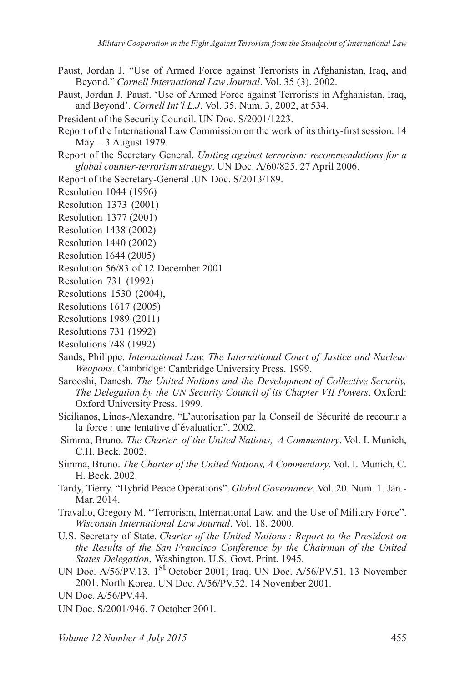- Paust, Jordan J. "Use of Armed Force against Terrorists in Afghanistan, Iraq, and Beyond." *Cornell International Law Journal*. Vol. 35 (3). 2002.
- Paust, Jordan J. Paust. 'Use of Armed Force against Terrorists in Afghanistan, Iraq, and Beyond'. *Cornell Int'l L.J*. Vol. 35. Num. 3, 2002, at 534.

President of the Security Council. UN Doc. S/2001/1223.

- Report of the International Law Commission on the work of its thirty-first session. 14 May – 3 August 1979.
- Report of the Secretary General. *Uniting against terrorism: recommendations for a global counter-terrorism strategy*. UN Doc. A/60/825. 27 April 2006.
- Report of the Secretary-General .UN Doc. S/2013/189.
- Resolution 1044 (1996)
- Resolution 1373 (2001)
- Resolution 1377 (2001)
- Resolution 1438 (2002)
- Resolution 1440 (2002)
- Resolution 1644 (2005)
- Resolution 56/83 of 12 December 2001
- Resolution 731 (1992)
- Resolutions 1530 (2004),
- Resolutions 1617 (2005)
- Resolutions 1989 (2011)
- Resolutions 731 (1992)
- Resolutions 748 (1992)
- Sands, Philippe. *International Law, The International Court of Justice and Nuclear Weapons*. Cambridge: Cambridge University Press. 1999.
- Sarooshi, Danesh. *The United Nations and the Development of Collective Security, The Delegation by the UN Security Council of its Chapter VII Powers*. Oxford: Oxford University Press. 1999.
- Sicilianos, Linos-Alexandre. "L'autorisation par la Conseil de Sécurité de recourir a la force : une tentative d'évaluation". 2002.
- Simma, Bruno. *The Charter of the United Nations, A Commentary*. Vol. I. Munich, C.H. Beck. 2002.
- Simma, Bruno. *The Charter of the United Nations, A Commentary*. Vol. I. Munich, C. H. Beck. 2002.
- Tardy, Tierry. "Hybrid Peace Operations". *Global Governance*. Vol. 20. Num. 1. Jan.- Mar. 2014.
- Travalio, Gregory M. "Terrorism, International Law, and the Use of Military Force". *Wisconsin International Law Journal*. Vol. 18. 2000.
- U.S. Secretary of State. *Charter of the United Nations : Report to the President on the Results of the San Francisco Conference by the Chairman of the United States Delegation*, Washington. U.S. Govt. Print. 1945.
- UN Doc. A/56/PV.13. 1st October 2001; Iraq. UN Doc. A/56/PV.51. 13 November 2001. North Korea. UN Doc. A/56/PV.52. 14 November 2001.
- UN Doc. A/56/PV.44.
- UN Doc. S/2001/946. 7 October 2001.